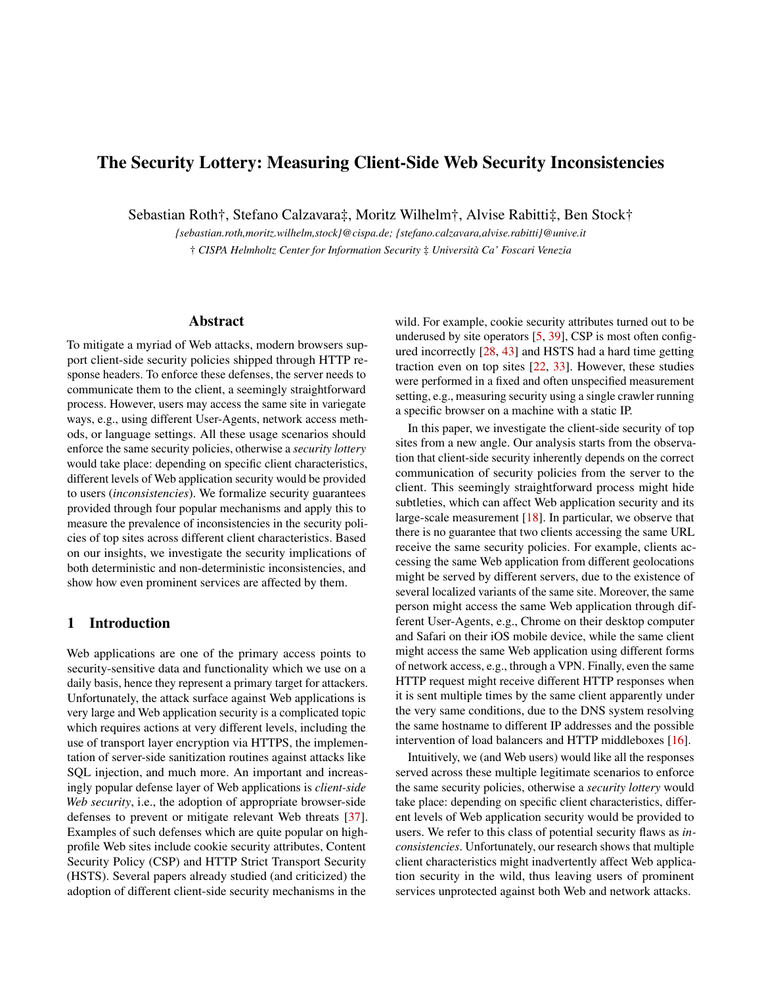# The Security Lottery: Measuring Client-Side Web Security Inconsistencies

Sebastian Roth†, Stefano Calzavara‡, Moritz Wilhelm†, Alvise Rabitti‡, Ben Stock†

*{sebastian.roth,moritz.wilhelm,stock}@cispa.de; {stefano.calzavara,alvise.rabitti}@unive.it* † *CISPA Helmholtz Center for Information Security* ‡ *Università Ca' Foscari Venezia*

### Abstract

To mitigate a myriad of Web attacks, modern browsers support client-side security policies shipped through HTTP response headers. To enforce these defenses, the server needs to communicate them to the client, a seemingly straightforward process. However, users may access the same site in variegate ways, e.g., using different User-Agents, network access methods, or language settings. All these usage scenarios should enforce the same security policies, otherwise a *security lottery* would take place: depending on specific client characteristics, different levels of Web application security would be provided to users (*inconsistencies*). We formalize security guarantees provided through four popular mechanisms and apply this to measure the prevalence of inconsistencies in the security policies of top sites across different client characteristics. Based on our insights, we investigate the security implications of both deterministic and non-deterministic inconsistencies, and show how even prominent services are affected by them.

#### 1 Introduction

Web applications are one of the primary access points to security-sensitive data and functionality which we use on a daily basis, hence they represent a primary target for attackers. Unfortunately, the attack surface against Web applications is very large and Web application security is a complicated topic which requires actions at very different levels, including the use of transport layer encryption via HTTPS, the implementation of server-side sanitization routines against attacks like SQL injection, and much more. An important and increasingly popular defense layer of Web applications is *client-side Web security*, i.e., the adoption of appropriate browser-side defenses to prevent or mitigate relevant Web threats [\[37\]](#page-16-0). Examples of such defenses which are quite popular on highprofile Web sites include cookie security attributes, Content Security Policy (CSP) and HTTP Strict Transport Security (HSTS). Several papers already studied (and criticized) the adoption of different client-side security mechanisms in the

wild. For example, cookie security attributes turned out to be underused by site operators [\[5,](#page-15-0) [39\]](#page-16-1), CSP is most often configured incorrectly [\[28,](#page-15-1) [43\]](#page-16-2) and HSTS had a hard time getting traction even on top sites [\[22,](#page-15-2) [33\]](#page-16-3). However, these studies were performed in a fixed and often unspecified measurement setting, e.g., measuring security using a single crawler running a specific browser on a machine with a static IP.

In this paper, we investigate the client-side security of top sites from a new angle. Our analysis starts from the observation that client-side security inherently depends on the correct communication of security policies from the server to the client. This seemingly straightforward process might hide subtleties, which can affect Web application security and its large-scale measurement [\[18\]](#page-15-3). In particular, we observe that there is no guarantee that two clients accessing the same URL receive the same security policies. For example, clients accessing the same Web application from different geolocations might be served by different servers, due to the existence of several localized variants of the same site. Moreover, the same person might access the same Web application through different User-Agents, e.g., Chrome on their desktop computer and Safari on their iOS mobile device, while the same client might access the same Web application using different forms of network access, e.g., through a VPN. Finally, even the same HTTP request might receive different HTTP responses when it is sent multiple times by the same client apparently under the very same conditions, due to the DNS system resolving the same hostname to different IP addresses and the possible intervention of load balancers and HTTP middleboxes [\[16\]](#page-15-4).

Intuitively, we (and Web users) would like all the responses served across these multiple legitimate scenarios to enforce the same security policies, otherwise a *security lottery* would take place: depending on specific client characteristics, different levels of Web application security would be provided to users. We refer to this class of potential security flaws as *inconsistencies*. Unfortunately, our research shows that multiple client characteristics might inadvertently affect Web application security in the wild, thus leaving users of prominent services unprotected against both Web and network attacks.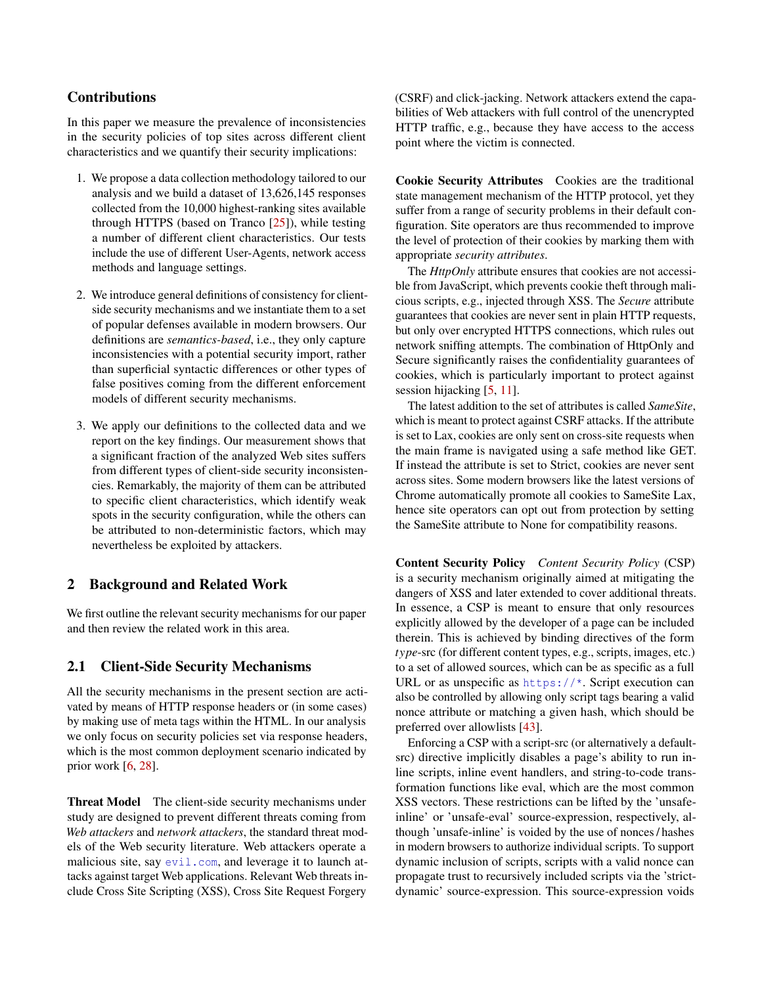# **Contributions**

In this paper we measure the prevalence of inconsistencies in the security policies of top sites across different client characteristics and we quantify their security implications:

- 1. We propose a data collection methodology tailored to our analysis and we build a dataset of 13,626,145 responses collected from the 10,000 highest-ranking sites available through HTTPS (based on Tranco [\[25\]](#page-15-5)), while testing a number of different client characteristics. Our tests include the use of different User-Agents, network access methods and language settings.
- 2. We introduce general definitions of consistency for clientside security mechanisms and we instantiate them to a set of popular defenses available in modern browsers. Our definitions are *semantics-based*, i.e., they only capture inconsistencies with a potential security import, rather than superficial syntactic differences or other types of false positives coming from the different enforcement models of different security mechanisms.
- 3. We apply our definitions to the collected data and we report on the key findings. Our measurement shows that a significant fraction of the analyzed Web sites suffers from different types of client-side security inconsistencies. Remarkably, the majority of them can be attributed to specific client characteristics, which identify weak spots in the security configuration, while the others can be attributed to non-deterministic factors, which may nevertheless be exploited by attackers.

# <span id="page-1-0"></span>2 Background and Related Work

We first outline the relevant security mechanisms for our paper and then review the related work in this area.

# 2.1 Client-Side Security Mechanisms

All the security mechanisms in the present section are activated by means of HTTP response headers or (in some cases) by making use of meta tags within the HTML. In our analysis we only focus on security policies set via response headers, which is the most common deployment scenario indicated by prior work [\[6,](#page-15-6) [28\]](#page-15-1).

Threat Model The client-side security mechanisms under study are designed to prevent different threats coming from *Web attackers* and *network attackers*, the standard threat models of the Web security literature. Web attackers operate a malicious site, say <evil.com>, and leverage it to launch attacks against target Web applications. Relevant Web threats include Cross Site Scripting (XSS), Cross Site Request Forgery

(CSRF) and click-jacking. Network attackers extend the capabilities of Web attackers with full control of the unencrypted HTTP traffic, e.g., because they have access to the access point where the victim is connected.

Cookie Security Attributes Cookies are the traditional state management mechanism of the HTTP protocol, yet they suffer from a range of security problems in their default configuration. Site operators are thus recommended to improve the level of protection of their cookies by marking them with appropriate *security attributes*.

The *HttpOnly* attribute ensures that cookies are not accessible from JavaScript, which prevents cookie theft through malicious scripts, e.g., injected through XSS. The *Secure* attribute guarantees that cookies are never sent in plain HTTP requests, but only over encrypted HTTPS connections, which rules out network sniffing attempts. The combination of HttpOnly and Secure significantly raises the confidentiality guarantees of cookies, which is particularly important to protect against session hijacking [\[5,](#page-15-0) [11\]](#page-15-7).

The latest addition to the set of attributes is called *SameSite*, which is meant to protect against CSRF attacks. If the attribute is set to Lax, cookies are only sent on cross-site requests when the main frame is navigated using a safe method like GET. If instead the attribute is set to Strict, cookies are never sent across sites. Some modern browsers like the latest versions of Chrome automatically promote all cookies to SameSite Lax, hence site operators can opt out from protection by setting the SameSite attribute to None for compatibility reasons.

Content Security Policy *Content Security Policy* (CSP) is a security mechanism originally aimed at mitigating the dangers of XSS and later extended to cover additional threats. In essence, a CSP is meant to ensure that only resources explicitly allowed by the developer of a page can be included therein. This is achieved by binding directives of the form *type*-src (for different content types, e.g., scripts, images, etc.) to a set of allowed sources, which can be as specific as a full URL or as unspecific as  $https://*$ . Script execution can also be controlled by allowing only script tags bearing a valid nonce attribute or matching a given hash, which should be preferred over allowlists [\[43\]](#page-16-2).

Enforcing a CSP with a script-src (or alternatively a defaultsrc) directive implicitly disables a page's ability to run inline scripts, inline event handlers, and string-to-code transformation functions like eval, which are the most common XSS vectors. These restrictions can be lifted by the 'unsafeinline' or 'unsafe-eval' source-expression, respectively, although 'unsafe-inline' is voided by the use of nonces / hashes in modern browsers to authorize individual scripts. To support dynamic inclusion of scripts, scripts with a valid nonce can propagate trust to recursively included scripts via the 'strictdynamic' source-expression. This source-expression voids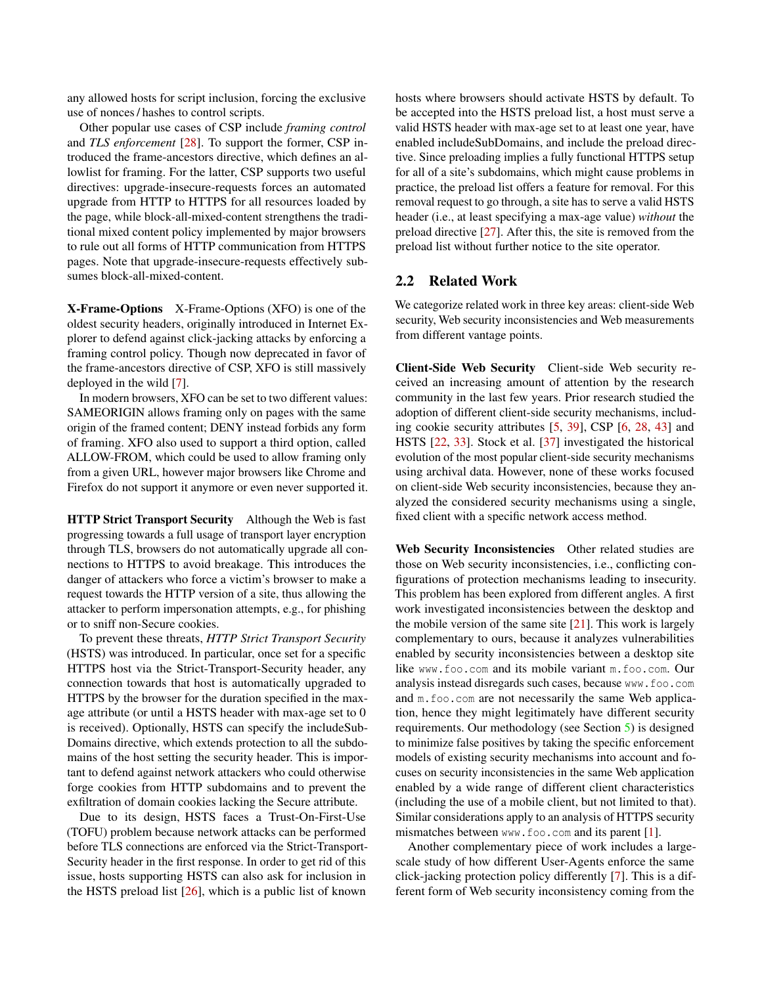any allowed hosts for script inclusion, forcing the exclusive use of nonces / hashes to control scripts.

Other popular use cases of CSP include *framing control* and *TLS enforcement* [\[28\]](#page-15-1). To support the former, CSP introduced the frame-ancestors directive, which defines an allowlist for framing. For the latter, CSP supports two useful directives: upgrade-insecure-requests forces an automated upgrade from HTTP to HTTPS for all resources loaded by the page, while block-all-mixed-content strengthens the traditional mixed content policy implemented by major browsers to rule out all forms of HTTP communication from HTTPS pages. Note that upgrade-insecure-requests effectively subsumes block-all-mixed-content.

X-Frame-Options X-Frame-Options (XFO) is one of the oldest security headers, originally introduced in Internet Explorer to defend against click-jacking attacks by enforcing a framing control policy. Though now deprecated in favor of the frame-ancestors directive of CSP, XFO is still massively deployed in the wild [\[7\]](#page-15-8).

In modern browsers, XFO can be set to two different values: SAMEORIGIN allows framing only on pages with the same origin of the framed content; DENY instead forbids any form of framing. XFO also used to support a third option, called ALLOW-FROM, which could be used to allow framing only from a given URL, however major browsers like Chrome and Firefox do not support it anymore or even never supported it.

HTTP Strict Transport Security Although the Web is fast progressing towards a full usage of transport layer encryption through TLS, browsers do not automatically upgrade all connections to HTTPS to avoid breakage. This introduces the danger of attackers who force a victim's browser to make a request towards the HTTP version of a site, thus allowing the attacker to perform impersonation attempts, e.g., for phishing or to sniff non-Secure cookies.

To prevent these threats, *HTTP Strict Transport Security* (HSTS) was introduced. In particular, once set for a specific HTTPS host via the Strict-Transport-Security header, any connection towards that host is automatically upgraded to HTTPS by the browser for the duration specified in the maxage attribute (or until a HSTS header with max-age set to 0 is received). Optionally, HSTS can specify the includeSub-Domains directive, which extends protection to all the subdomains of the host setting the security header. This is important to defend against network attackers who could otherwise forge cookies from HTTP subdomains and to prevent the exfiltration of domain cookies lacking the Secure attribute.

Due to its design, HSTS faces a Trust-On-First-Use (TOFU) problem because network attacks can be performed before TLS connections are enforced via the Strict-Transport-Security header in the first response. In order to get rid of this issue, hosts supporting HSTS can also ask for inclusion in the HSTS preload list [\[26\]](#page-15-9), which is a public list of known

hosts where browsers should activate HSTS by default. To be accepted into the HSTS preload list, a host must serve a valid HSTS header with max-age set to at least one year, have enabled includeSubDomains, and include the preload directive. Since preloading implies a fully functional HTTPS setup for all of a site's subdomains, which might cause problems in practice, the preload list offers a feature for removal. For this removal request to go through, a site has to serve a valid HSTS header (i.e., at least specifying a max-age value) *without* the preload directive [\[27\]](#page-15-10). After this, the site is removed from the preload list without further notice to the site operator.

## <span id="page-2-0"></span>2.2 Related Work

We categorize related work in three key areas: client-side Web security, Web security inconsistencies and Web measurements from different vantage points.

Client-Side Web Security Client-side Web security received an increasing amount of attention by the research community in the last few years. Prior research studied the adoption of different client-side security mechanisms, including cookie security attributes [\[5,](#page-15-0) [39\]](#page-16-1), CSP [\[6,](#page-15-6) [28,](#page-15-1) [43\]](#page-16-2) and HSTS [\[22,](#page-15-2) [33\]](#page-16-3). Stock et al. [\[37\]](#page-16-0) investigated the historical evolution of the most popular client-side security mechanisms using archival data. However, none of these works focused on client-side Web security inconsistencies, because they analyzed the considered security mechanisms using a single, fixed client with a specific network access method.

Web Security Inconsistencies Other related studies are those on Web security inconsistencies, i.e., conflicting configurations of protection mechanisms leading to insecurity. This problem has been explored from different angles. A first work investigated inconsistencies between the desktop and the mobile version of the same site  $[21]$ . This work is largely complementary to ours, because it analyzes vulnerabilities enabled by security inconsistencies between a desktop site like www.foo.com and its mobile variant m.foo.com. Our analysis instead disregards such cases, because www.foo.com and m.foo.com are not necessarily the same Web application, hence they might legitimately have different security requirements. Our methodology (see Section [5\)](#page-5-0) is designed to minimize false positives by taking the specific enforcement models of existing security mechanisms into account and focuses on security inconsistencies in the same Web application enabled by a wide range of different client characteristics (including the use of a mobile client, but not limited to that). Similar considerations apply to an analysis of HTTPS security mismatches between www.foo.com and its parent [\[1\]](#page-14-0).

Another complementary piece of work includes a largescale study of how different User-Agents enforce the same click-jacking protection policy differently [\[7\]](#page-15-8). This is a different form of Web security inconsistency coming from the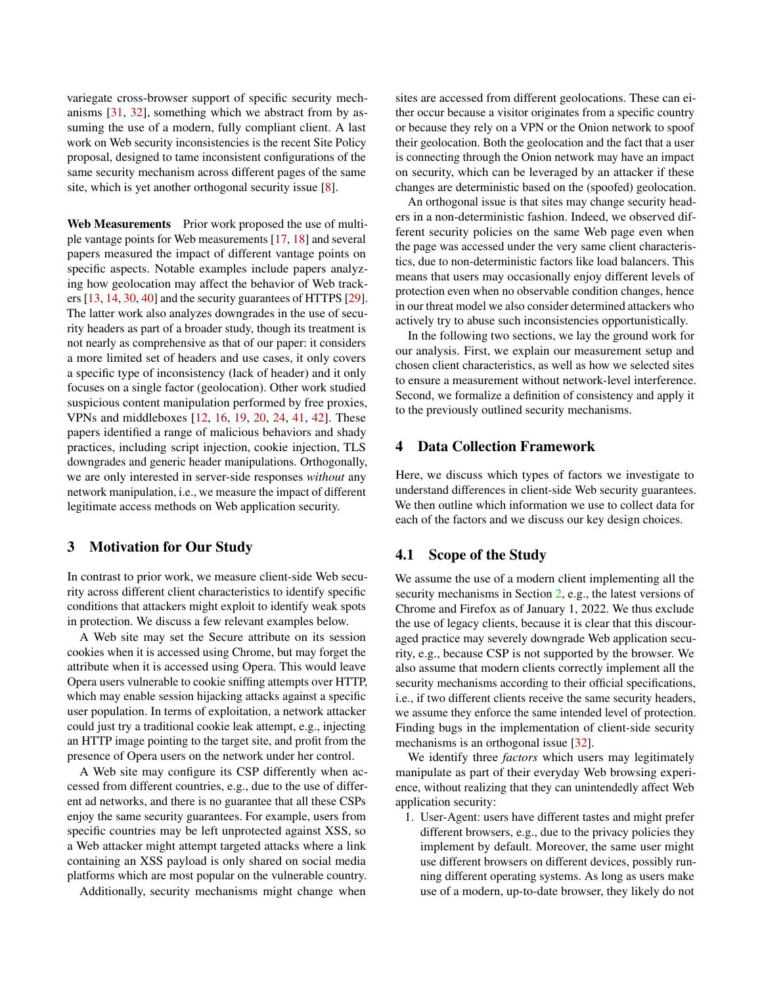variegate cross-browser support of specific security mechanisms [\[31,](#page-15-12) [32\]](#page-16-4), something which we abstract from by assuming the use of a modern, fully compliant client. A last work on Web security inconsistencies is the recent Site Policy proposal, designed to tame inconsistent configurations of the same security mechanism across different pages of the same site, which is yet another orthogonal security issue [\[8\]](#page-15-13).

Web Measurements Prior work proposed the use of multiple vantage points for Web measurements [\[17,](#page-15-14) [18\]](#page-15-3) and several papers measured the impact of different vantage points on specific aspects. Notable examples include papers analyzing how geolocation may affect the behavior of Web trackers [\[13,](#page-15-15) [14,](#page-15-16) [30,](#page-15-17) [40\]](#page-16-5) and the security guarantees of HTTPS [\[29\]](#page-15-18). The latter work also analyzes downgrades in the use of security headers as part of a broader study, though its treatment is not nearly as comprehensive as that of our paper: it considers a more limited set of headers and use cases, it only covers a specific type of inconsistency (lack of header) and it only focuses on a single factor (geolocation). Other work studied suspicious content manipulation performed by free proxies, VPNs and middleboxes [\[12,](#page-15-19) [16,](#page-15-4) [19,](#page-15-20) [20,](#page-15-21) [24,](#page-15-22) [41,](#page-16-6) [42\]](#page-16-7). These papers identified a range of malicious behaviors and shady practices, including script injection, cookie injection, TLS downgrades and generic header manipulations. Orthogonally, we are only interested in server-side responses *without* any network manipulation, i.e., we measure the impact of different legitimate access methods on Web application security.

### 3 Motivation for Our Study

In contrast to prior work, we measure client-side Web security across different client characteristics to identify specific conditions that attackers might exploit to identify weak spots in protection. We discuss a few relevant examples below.

A Web site may set the Secure attribute on its session cookies when it is accessed using Chrome, but may forget the attribute when it is accessed using Opera. This would leave Opera users vulnerable to cookie sniffing attempts over HTTP, which may enable session hijacking attacks against a specific user population. In terms of exploitation, a network attacker could just try a traditional cookie leak attempt, e.g., injecting an HTTP image pointing to the target site, and profit from the presence of Opera users on the network under her control.

A Web site may configure its CSP differently when accessed from different countries, e.g., due to the use of different ad networks, and there is no guarantee that all these CSPs enjoy the same security guarantees. For example, users from specific countries may be left unprotected against XSS, so a Web attacker might attempt targeted attacks where a link containing an XSS payload is only shared on social media platforms which are most popular on the vulnerable country.

Additionally, security mechanisms might change when

sites are accessed from different geolocations. These can either occur because a visitor originates from a specific country or because they rely on a VPN or the Onion network to spoof their geolocation. Both the geolocation and the fact that a user is connecting through the Onion network may have an impact on security, which can be leveraged by an attacker if these changes are deterministic based on the (spoofed) geolocation.

An orthogonal issue is that sites may change security headers in a non-deterministic fashion. Indeed, we observed different security policies on the same Web page even when the page was accessed under the very same client characteristics, due to non-deterministic factors like load balancers. This means that users may occasionally enjoy different levels of protection even when no observable condition changes, hence in our threat model we also consider determined attackers who actively try to abuse such inconsistencies opportunistically.

In the following two sections, we lay the ground work for our analysis. First, we explain our measurement setup and chosen client characteristics, as well as how we selected sites to ensure a measurement without network-level interference. Second, we formalize a definition of consistency and apply it to the previously outlined security mechanisms.

#### <span id="page-3-0"></span>4 Data Collection Framework

Here, we discuss which types of factors we investigate to understand differences in client-side Web security guarantees. We then outline which information we use to collect data for each of the factors and we discuss our key design choices.

#### 4.1 Scope of the Study

We assume the use of a modern client implementing all the security mechanisms in Section [2,](#page-1-0) e.g., the latest versions of Chrome and Firefox as of January 1, 2022. We thus exclude the use of legacy clients, because it is clear that this discouraged practice may severely downgrade Web application security, e.g., because CSP is not supported by the browser. We also assume that modern clients correctly implement all the security mechanisms according to their official specifications, i.e., if two different clients receive the same security headers, we assume they enforce the same intended level of protection. Finding bugs in the implementation of client-side security mechanisms is an orthogonal issue [\[32\]](#page-16-4).

We identify three *factors* which users may legitimately manipulate as part of their everyday Web browsing experience, without realizing that they can unintendedly affect Web application security:

1. User-Agent: users have different tastes and might prefer different browsers, e.g., due to the privacy policies they implement by default. Moreover, the same user might use different browsers on different devices, possibly running different operating systems. As long as users make use of a modern, up-to-date browser, they likely do not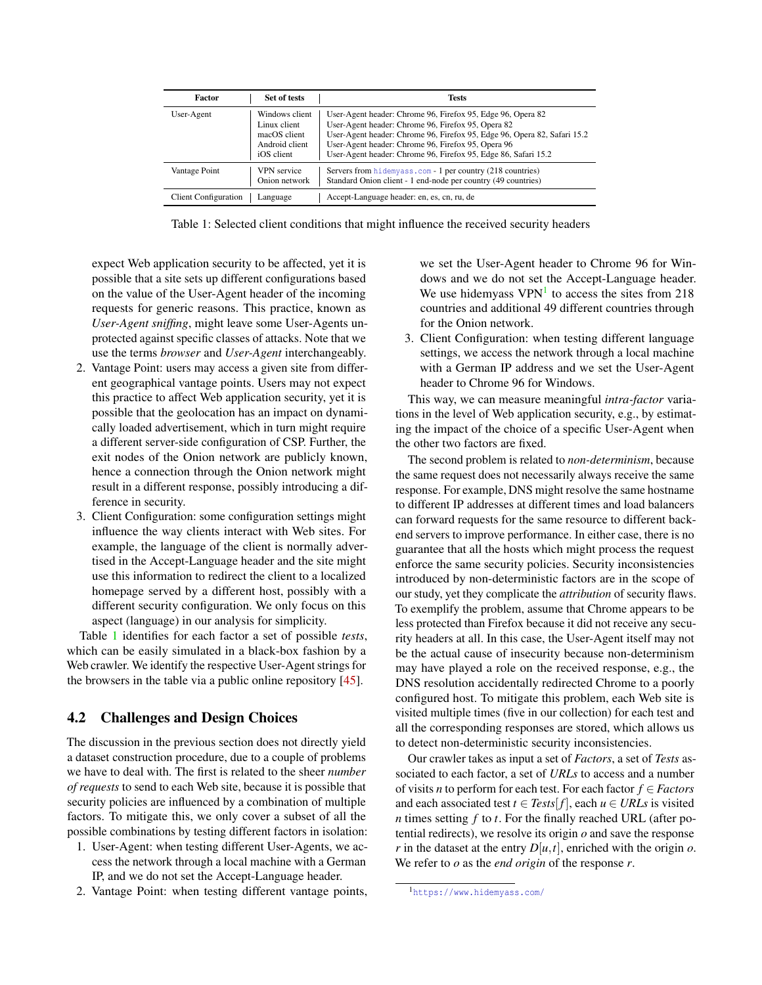| Factor                      | Set of tests                                                                   | <b>Tests</b>                                                                                                                                                                                                                                                                                                          |
|-----------------------------|--------------------------------------------------------------------------------|-----------------------------------------------------------------------------------------------------------------------------------------------------------------------------------------------------------------------------------------------------------------------------------------------------------------------|
| User-Agent                  | Windows client<br>Linux client<br>macOS client<br>Android client<br>iOS client | User-Agent header: Chrome 96, Firefox 95, Edge 96, Opera 82<br>User-Agent header: Chrome 96, Firefox 95, Opera 82<br>User-Agent header: Chrome 96, Firefox 95, Edge 96, Opera 82, Safari 15.2<br>User-Agent header: Chrome 96, Firefox 95, Opera 96<br>User-Agent header: Chrome 96, Firefox 95, Edge 86, Safari 15.2 |
| Vantage Point               | <b>VPN</b> service<br>Onion network                                            | Servers from hidemyass.com - 1 per country (218 countries)<br>Standard Onion client - 1 end-node per country (49 countries)                                                                                                                                                                                           |
| <b>Client Configuration</b> | Language                                                                       | Accept-Language header: en, es, cn, ru, de                                                                                                                                                                                                                                                                            |

Table 1: Selected client conditions that might influence the received security headers

expect Web application security to be affected, yet it is possible that a site sets up different configurations based on the value of the User-Agent header of the incoming requests for generic reasons. This practice, known as *User-Agent sniffing*, might leave some User-Agents unprotected against specific classes of attacks. Note that we use the terms *browser* and *User-Agent* interchangeably.

- 2. Vantage Point: users may access a given site from different geographical vantage points. Users may not expect this practice to affect Web application security, yet it is possible that the geolocation has an impact on dynamically loaded advertisement, which in turn might require a different server-side configuration of CSP. Further, the exit nodes of the Onion network are publicly known, hence a connection through the Onion network might result in a different response, possibly introducing a difference in security.
- 3. Client Configuration: some configuration settings might influence the way clients interact with Web sites. For example, the language of the client is normally advertised in the Accept-Language header and the site might use this information to redirect the client to a localized homepage served by a different host, possibly with a different security configuration. We only focus on this aspect (language) in our analysis for simplicity.

Table [1](#page-4-0) identifies for each factor a set of possible *tests*, which can be easily simulated in a black-box fashion by a Web crawler. We identify the respective User-Agent strings for the browsers in the table via a public online repository [\[45\]](#page-16-8).

# 4.2 Challenges and Design Choices

The discussion in the previous section does not directly yield a dataset construction procedure, due to a couple of problems we have to deal with. The first is related to the sheer *number of requests* to send to each Web site, because it is possible that security policies are influenced by a combination of multiple factors. To mitigate this, we only cover a subset of all the possible combinations by testing different factors in isolation:

- 1. User-Agent: when testing different User-Agents, we access the network through a local machine with a German IP, and we do not set the Accept-Language header.
- 2. Vantage Point: when testing different vantage points,

<span id="page-4-0"></span>we set the User-Agent header to Chrome 96 for Windows and we do not set the Accept-Language header. We use hidemyass  $VPN<sup>1</sup>$  $VPN<sup>1</sup>$  $VPN<sup>1</sup>$  to access the sites from 218 countries and additional 49 different countries through for the Onion network.

3. Client Configuration: when testing different language settings, we access the network through a local machine with a German IP address and we set the User-Agent header to Chrome 96 for Windows.

This way, we can measure meaningful *intra-factor* variations in the level of Web application security, e.g., by estimating the impact of the choice of a specific User-Agent when the other two factors are fixed.

The second problem is related to *non-determinism*, because the same request does not necessarily always receive the same response. For example, DNS might resolve the same hostname to different IP addresses at different times and load balancers can forward requests for the same resource to different backend servers to improve performance. In either case, there is no guarantee that all the hosts which might process the request enforce the same security policies. Security inconsistencies introduced by non-deterministic factors are in the scope of our study, yet they complicate the *attribution* of security flaws. To exemplify the problem, assume that Chrome appears to be less protected than Firefox because it did not receive any security headers at all. In this case, the User-Agent itself may not be the actual cause of insecurity because non-determinism may have played a role on the received response, e.g., the DNS resolution accidentally redirected Chrome to a poorly configured host. To mitigate this problem, each Web site is visited multiple times (five in our collection) for each test and all the corresponding responses are stored, which allows us to detect non-deterministic security inconsistencies.

Our crawler takes as input a set of *Factors*, a set of *Tests* associated to each factor, a set of *URLs* to access and a number of visits *n* to perform for each test. For each factor *f* ∈ *Factors* and each associated test  $t \in Tests[f]$ , each  $u \in URLs$  is visited *n* times setting *f* to *t*. For the finally reached URL (after potential redirects), we resolve its origin *o* and save the response *r* in the dataset at the entry  $D[u, t]$ , enriched with the origin *o*. We refer to *o* as the *end origin* of the response *r*.

<span id="page-4-1"></span><sup>1</sup><https://www.hidemyass.com/>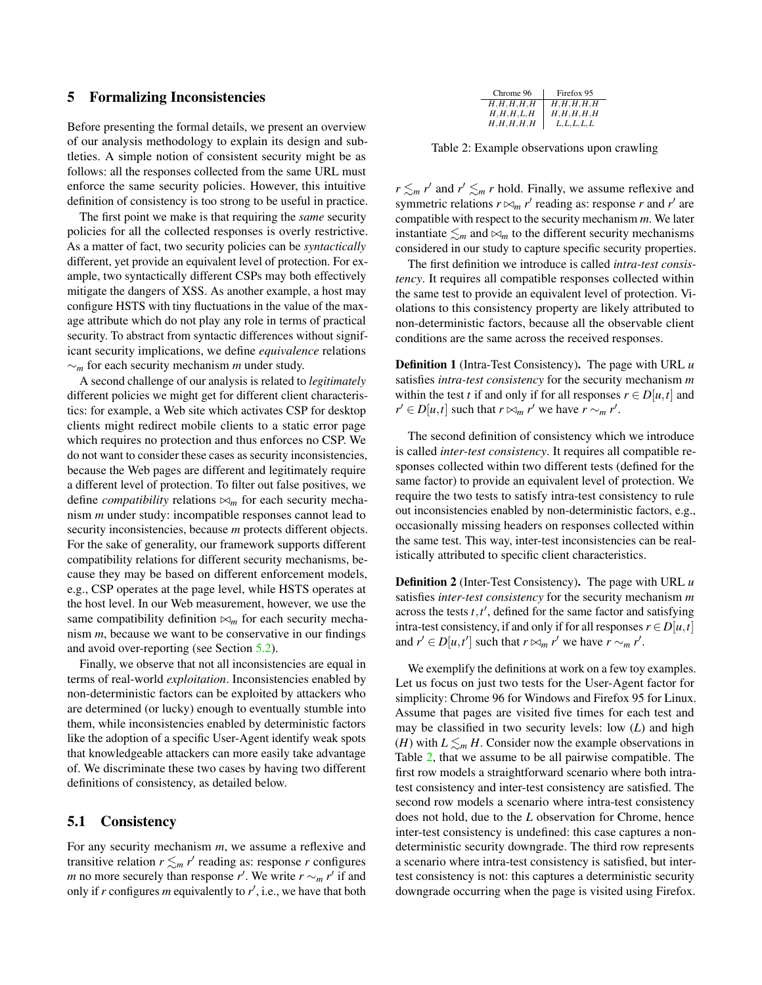#### <span id="page-5-0"></span>5 Formalizing Inconsistencies

Before presenting the formal details, we present an overview of our analysis methodology to explain its design and subtleties. A simple notion of consistent security might be as follows: all the responses collected from the same URL must enforce the same security policies. However, this intuitive definition of consistency is too strong to be useful in practice.

The first point we make is that requiring the *same* security policies for all the collected responses is overly restrictive. As a matter of fact, two security policies can be *syntactically* different, yet provide an equivalent level of protection. For example, two syntactically different CSPs may both effectively mitigate the dangers of XSS. As another example, a host may configure HSTS with tiny fluctuations in the value of the maxage attribute which do not play any role in terms of practical security. To abstract from syntactic differences without significant security implications, we define *equivalence* relations ∼*<sup>m</sup>* for each security mechanism *m* under study.

A second challenge of our analysis is related to *legitimately* different policies we might get for different client characteristics: for example, a Web site which activates CSP for desktop clients might redirect mobile clients to a static error page which requires no protection and thus enforces no CSP. We do not want to consider these cases as security inconsistencies, because the Web pages are different and legitimately require a different level of protection. To filter out false positives, we define *compatibility* relations  $\bowtie_m$  for each security mechanism *m* under study: incompatible responses cannot lead to security inconsistencies, because *m* protects different objects. For the sake of generality, our framework supports different compatibility relations for different security mechanisms, because they may be based on different enforcement models, e.g., CSP operates at the page level, while HSTS operates at the host level. In our Web measurement, however, we use the same compatibility definition  $\bowtie_m$  for each security mechanism *m*, because we want to be conservative in our findings and avoid over-reporting (see Section [5.2\)](#page-6-0).

Finally, we observe that not all inconsistencies are equal in terms of real-world *exploitation*. Inconsistencies enabled by non-deterministic factors can be exploited by attackers who are determined (or lucky) enough to eventually stumble into them, while inconsistencies enabled by deterministic factors like the adoption of a specific User-Agent identify weak spots that knowledgeable attackers can more easily take advantage of. We discriminate these two cases by having two different definitions of consistency, as detailed below.

### 5.1 Consistency

For any security mechanism *m*, we assume a reflexive and transitive relation  $r \leq m r'$  reading as: response *r* configures *m* no more securely than response *r'*. We write  $r \sim_m r'$  if and only if *r* configures *m* equivalently to *r* ′ , i.e., we have that both

<span id="page-5-1"></span>

| Chrome 96 | Firefox 95    |
|-----------|---------------|
| H,H,H,H,H | H,H,H,H,H     |
| H,H,H,L,H | H,H,H,H,H     |
| H,H,H,H,H | L, L, L, L, L |

Table 2: Example observations upon crawling

*r*  $\leq_m r'$  and  $r' \leq_m r$  hold. Finally, we assume reflexive and symmetric relations  $r \bowtie_m r'$  reading as: response *r* and  $r'$  are compatible with respect to the security mechanism *m*. We later instantiate  $\leq_m$  and  $\bowtie_m$  to the different security mechanisms considered in our study to capture specific security properties.

The first definition we introduce is called *intra-test consistency*. It requires all compatible responses collected within the same test to provide an equivalent level of protection. Violations to this consistency property are likely attributed to non-deterministic factors, because all the observable client conditions are the same across the received responses.

Definition 1 (Intra-Test Consistency). The page with URL *u* satisfies *intra-test consistency* for the security mechanism *m* within the test *t* if and only if for all responses  $r \in D[u, t]$  and  $r' \in D[u,t]$  such that  $r \bowtie_m r'$  we have  $r \sim_m r'$ .

The second definition of consistency which we introduce is called *inter-test consistency*. It requires all compatible responses collected within two different tests (defined for the same factor) to provide an equivalent level of protection. We require the two tests to satisfy intra-test consistency to rule out inconsistencies enabled by non-deterministic factors, e.g., occasionally missing headers on responses collected within the same test. This way, inter-test inconsistencies can be realistically attributed to specific client characteristics.

Definition 2 (Inter-Test Consistency). The page with URL *u* satisfies *inter-test consistency* for the security mechanism *m* across the tests  $t, t'$ , defined for the same factor and satisfying intra-test consistency, if and only if for all responses  $r \in D[u,t]$ and  $r' \in D[u, t']$  such that  $r \bowtie_m r'$  we have  $r \sim_m r'$ .

We exemplify the definitions at work on a few toy examples. Let us focus on just two tests for the User-Agent factor for simplicity: Chrome 96 for Windows and Firefox 95 for Linux. Assume that pages are visited five times for each test and may be classified in two security levels: low (*L*) and high (*H*) with  $L \leq_m H$ . Consider now the example observations in Table [2,](#page-5-1) that we assume to be all pairwise compatible. The first row models a straightforward scenario where both intratest consistency and inter-test consistency are satisfied. The second row models a scenario where intra-test consistency does not hold, due to the *L* observation for Chrome, hence inter-test consistency is undefined: this case captures a nondeterministic security downgrade. The third row represents a scenario where intra-test consistency is satisfied, but intertest consistency is not: this captures a deterministic security downgrade occurring when the page is visited using Firefox.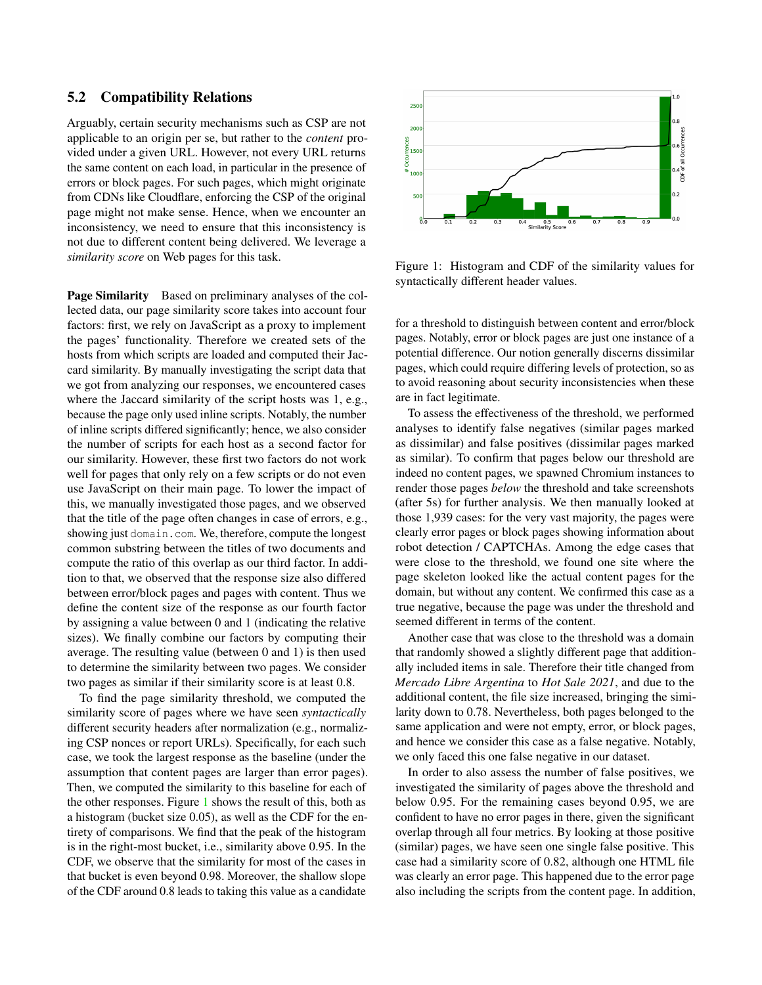#### <span id="page-6-0"></span>5.2 Compatibility Relations

Arguably, certain security mechanisms such as CSP are not applicable to an origin per se, but rather to the *content* provided under a given URL. However, not every URL returns the same content on each load, in particular in the presence of errors or block pages. For such pages, which might originate from CDNs like Cloudflare, enforcing the CSP of the original page might not make sense. Hence, when we encounter an inconsistency, we need to ensure that this inconsistency is not due to different content being delivered. We leverage a *similarity score* on Web pages for this task.

Page Similarity Based on preliminary analyses of the collected data, our page similarity score takes into account four factors: first, we rely on JavaScript as a proxy to implement the pages' functionality. Therefore we created sets of the hosts from which scripts are loaded and computed their Jaccard similarity. By manually investigating the script data that we got from analyzing our responses, we encountered cases where the Jaccard similarity of the script hosts was 1, e.g., because the page only used inline scripts. Notably, the number of inline scripts differed significantly; hence, we also consider the number of scripts for each host as a second factor for our similarity. However, these first two factors do not work well for pages that only rely on a few scripts or do not even use JavaScript on their main page. To lower the impact of this, we manually investigated those pages, and we observed that the title of the page often changes in case of errors, e.g., showing just domain.com. We, therefore, compute the longest common substring between the titles of two documents and compute the ratio of this overlap as our third factor. In addition to that, we observed that the response size also differed between error/block pages and pages with content. Thus we define the content size of the response as our fourth factor by assigning a value between 0 and 1 (indicating the relative sizes). We finally combine our factors by computing their average. The resulting value (between 0 and 1) is then used to determine the similarity between two pages. We consider two pages as similar if their similarity score is at least 0.8.

To find the page similarity threshold, we computed the similarity score of pages where we have seen *syntactically* different security headers after normalization (e.g., normalizing CSP nonces or report URLs). Specifically, for each such case, we took the largest response as the baseline (under the assumption that content pages are larger than error pages). Then, we computed the similarity to this baseline for each of the other responses. Figure [1](#page-6-1) shows the result of this, both as a histogram (bucket size 0.05), as well as the CDF for the entirety of comparisons. We find that the peak of the histogram is in the right-most bucket, i.e., similarity above 0.95. In the CDF, we observe that the similarity for most of the cases in that bucket is even beyond 0.98. Moreover, the shallow slope of the CDF around 0.8 leads to taking this value as a candidate



<span id="page-6-1"></span>Figure 1: Histogram and CDF of the similarity values for syntactically different header values.

for a threshold to distinguish between content and error/block pages. Notably, error or block pages are just one instance of a potential difference. Our notion generally discerns dissimilar pages, which could require differing levels of protection, so as to avoid reasoning about security inconsistencies when these are in fact legitimate.

To assess the effectiveness of the threshold, we performed analyses to identify false negatives (similar pages marked as dissimilar) and false positives (dissimilar pages marked as similar). To confirm that pages below our threshold are indeed no content pages, we spawned Chromium instances to render those pages *below* the threshold and take screenshots (after 5s) for further analysis. We then manually looked at those 1,939 cases: for the very vast majority, the pages were clearly error pages or block pages showing information about robot detection / CAPTCHAs. Among the edge cases that were close to the threshold, we found one site where the page skeleton looked like the actual content pages for the domain, but without any content. We confirmed this case as a true negative, because the page was under the threshold and seemed different in terms of the content.

Another case that was close to the threshold was a domain that randomly showed a slightly different page that additionally included items in sale. Therefore their title changed from *Mercado Libre Argentina* to *Hot Sale 2021*, and due to the additional content, the file size increased, bringing the similarity down to 0.78. Nevertheless, both pages belonged to the same application and were not empty, error, or block pages, and hence we consider this case as a false negative. Notably, we only faced this one false negative in our dataset.

In order to also assess the number of false positives, we investigated the similarity of pages above the threshold and below 0.95. For the remaining cases beyond 0.95, we are confident to have no error pages in there, given the significant overlap through all four metrics. By looking at those positive (similar) pages, we have seen one single false positive. This case had a similarity score of 0.82, although one HTML file was clearly an error page. This happened due to the error page also including the scripts from the content page. In addition,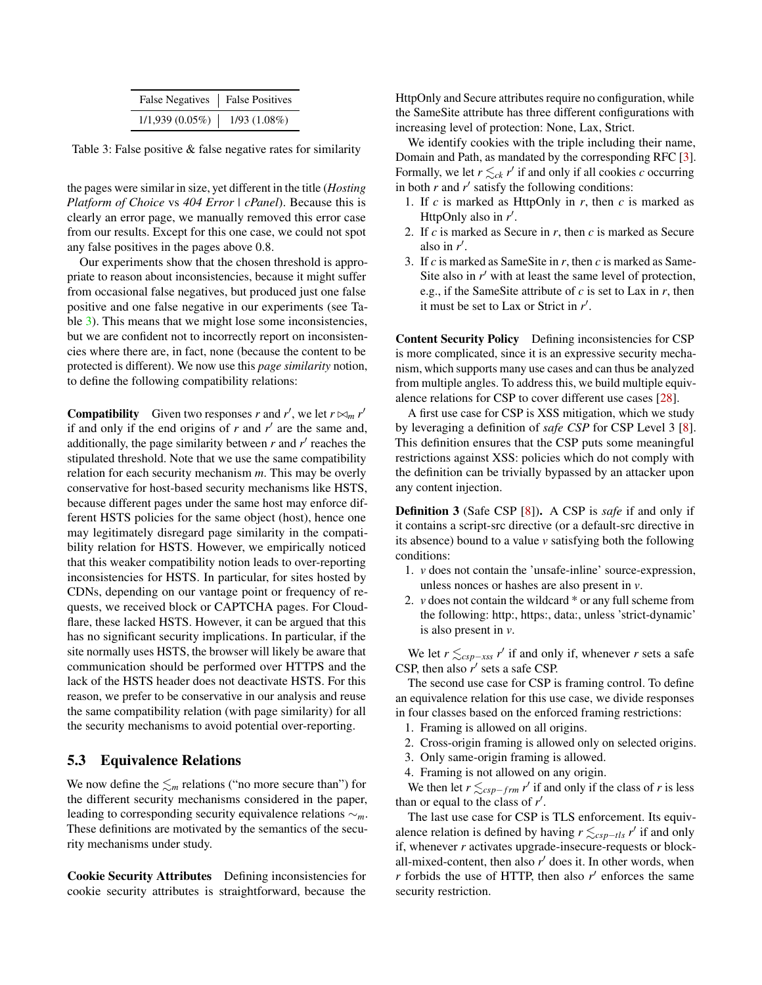| False Negatives   False Positives |                   |
|-----------------------------------|-------------------|
| 1/1,939(0.05%)                    | $1/93$ $(1.08\%)$ |

Table 3: False positive & false negative rates for similarity

the pages were similar in size, yet different in the title (*Hosting Platform of Choice* vs *404 Error | cPanel*). Because this is clearly an error page, we manually removed this error case from our results. Except for this one case, we could not spot any false positives in the pages above 0.8.

Our experiments show that the chosen threshold is appropriate to reason about inconsistencies, because it might suffer from occasional false negatives, but produced just one false positive and one false negative in our experiments (see Table [3\)](#page-7-0). This means that we might lose some inconsistencies, but we are confident not to incorrectly report on inconsistencies where there are, in fact, none (because the content to be protected is different). We now use this *page similarity* notion, to define the following compatibility relations:

**Compatibility** Given two responses *r* and *r'*, we let  $r \bowtie_m r'$ if and only if the end origins of  $r$  and  $r'$  are the same and, additionally, the page similarity between  $r$  and  $r'$  reaches the stipulated threshold. Note that we use the same compatibility relation for each security mechanism *m*. This may be overly conservative for host-based security mechanisms like HSTS, because different pages under the same host may enforce different HSTS policies for the same object (host), hence one may legitimately disregard page similarity in the compatibility relation for HSTS. However, we empirically noticed that this weaker compatibility notion leads to over-reporting inconsistencies for HSTS. In particular, for sites hosted by CDNs, depending on our vantage point or frequency of requests, we received block or CAPTCHA pages. For Cloudflare, these lacked HSTS. However, it can be argued that this has no significant security implications. In particular, if the site normally uses HSTS, the browser will likely be aware that communication should be performed over HTTPS and the lack of the HSTS header does not deactivate HSTS. For this reason, we prefer to be conservative in our analysis and reuse the same compatibility relation (with page similarity) for all the security mechanisms to avoid potential over-reporting.

### 5.3 Equivalence Relations

We now define the  $\leq_m$  relations ("no more secure than") for the different security mechanisms considered in the paper, leading to corresponding security equivalence relations ∼*m*. These definitions are motivated by the semantics of the security mechanisms under study.

Cookie Security Attributes Defining inconsistencies for cookie security attributes is straightforward, because the

<span id="page-7-0"></span>HttpOnly and Secure attributes require no configuration, while the SameSite attribute has three different configurations with increasing level of protection: None, Lax, Strict.

We identify cookies with the triple including their name, Domain and Path, as mandated by the corresponding RFC [\[3\]](#page-14-1). Formally, we let  $r \leq_{ck} r'$  if and only if all cookies *c* occurring in both  $r$  and  $r'$  satisfy the following conditions:

- 1. If  $c$  is marked as HttpOnly in  $r$ , then  $c$  is marked as HttpOnly also in r'.
- 2. If *c* is marked as Secure in *r*, then *c* is marked as Secure also in  $r'$ .
- 3. If *c* is marked as SameSite in *r*, then *c* is marked as Same-Site also in  $r'$  with at least the same level of protection, e.g., if the SameSite attribute of *c* is set to Lax in *r*, then it must be set to Lax or Strict in *r* ′ .

Content Security Policy Defining inconsistencies for CSP is more complicated, since it is an expressive security mechanism, which supports many use cases and can thus be analyzed from multiple angles. To address this, we build multiple equivalence relations for CSP to cover different use cases [\[28\]](#page-15-1).

A first use case for CSP is XSS mitigation, which we study by leveraging a definition of *safe CSP* for CSP Level 3 [\[8\]](#page-15-13). This definition ensures that the CSP puts some meaningful restrictions against XSS: policies which do not comply with the definition can be trivially bypassed by an attacker upon any content injection.

<span id="page-7-1"></span>Definition 3 (Safe CSP [\[8\]](#page-15-13)). A CSP is *safe* if and only if it contains a script-src directive (or a default-src directive in its absence) bound to a value *v* satisfying both the following conditions:

- 1. *v* does not contain the 'unsafe-inline' source-expression, unless nonces or hashes are also present in *v*.
- 2. *v* does not contain the wildcard \* or any full scheme from the following: http:, https:, data:, unless 'strict-dynamic' is also present in *v*.

We let  $r \leq_{csp-\text{xss}} r'$  if and only if, whenever *r* sets a safe CSP, then also  $r'$  sets a safe CSP.

The second use case for CSP is framing control. To define an equivalence relation for this use case, we divide responses in four classes based on the enforced framing restrictions:

- 1. Framing is allowed on all origins.
- 2. Cross-origin framing is allowed only on selected origins.
- 3. Only same-origin framing is allowed.
- 4. Framing is not allowed on any origin.

We then let  $r \leq_{csp-frm} r'$  if and only if the class of *r* is less than or equal to the class of *r* ′ .

The last use case for CSP is TLS enforcement. Its equivalence relation is defined by having  $r \leq_{csp-tls} r'$  if and only if, whenever *r* activates upgrade-insecure-requests or blockall-mixed-content, then also  $r'$  does it. In other words, when  $r$  forbids the use of HTTP, then also  $r'$  enforces the same security restriction.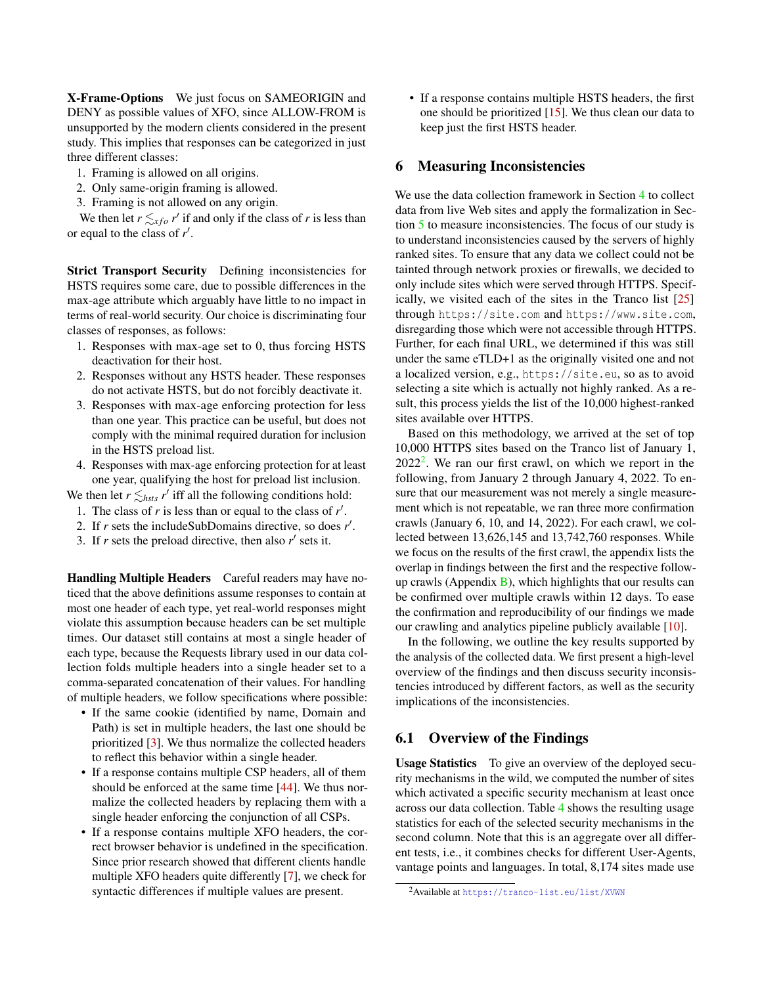X-Frame-Options We just focus on SAMEORIGIN and DENY as possible values of XFO, since ALLOW-FROM is unsupported by the modern clients considered in the present study. This implies that responses can be categorized in just three different classes:

- 1. Framing is allowed on all origins.
- 2. Only same-origin framing is allowed.
- 3. Framing is not allowed on any origin.

We then let  $r \leq_{xf} r'$  if and only if the class of *r* is less than or equal to the class of *r* ′ .

Strict Transport Security Defining inconsistencies for HSTS requires some care, due to possible differences in the max-age attribute which arguably have little to no impact in terms of real-world security. Our choice is discriminating four classes of responses, as follows:

- 1. Responses with max-age set to 0, thus forcing HSTS deactivation for their host.
- 2. Responses without any HSTS header. These responses do not activate HSTS, but do not forcibly deactivate it.
- 3. Responses with max-age enforcing protection for less than one year. This practice can be useful, but does not comply with the minimal required duration for inclusion in the HSTS preload list.
- 4. Responses with max-age enforcing protection for at least one year, qualifying the host for preload list inclusion.

We then let  $r \leq_{hsts} r'$  iff all the following conditions hold:

- 1. The class of  $r$  is less than or equal to the class of  $r'$ .
- 2. If *r* sets the includeSubDomains directive, so does *r* ′ .
- 3. If  $r$  sets the preload directive, then also  $r'$  sets it.

Handling Multiple Headers Careful readers may have noticed that the above definitions assume responses to contain at most one header of each type, yet real-world responses might violate this assumption because headers can be set multiple times. Our dataset still contains at most a single header of each type, because the Requests library used in our data collection folds multiple headers into a single header set to a comma-separated concatenation of their values. For handling of multiple headers, we follow specifications where possible:

- If the same cookie (identified by name, Domain and Path) is set in multiple headers, the last one should be prioritized [\[3\]](#page-14-1). We thus normalize the collected headers to reflect this behavior within a single header.
- If a response contains multiple CSP headers, all of them should be enforced at the same time [\[44\]](#page-16-9). We thus normalize the collected headers by replacing them with a single header enforcing the conjunction of all CSPs.
- If a response contains multiple XFO headers, the correct browser behavior is undefined in the specification. Since prior research showed that different clients handle multiple XFO headers quite differently [\[7\]](#page-15-8), we check for syntactic differences if multiple values are present.

• If a response contains multiple HSTS headers, the first one should be prioritized [\[15\]](#page-15-23). We thus clean our data to keep just the first HSTS header.

#### <span id="page-8-1"></span>6 Measuring Inconsistencies

We use the data collection framework in Section [4](#page-3-0) to collect data from live Web sites and apply the formalization in Section [5](#page-5-0) to measure inconsistencies. The focus of our study is to understand inconsistencies caused by the servers of highly ranked sites. To ensure that any data we collect could not be tainted through network proxies or firewalls, we decided to only include sites which were served through HTTPS. Specifically, we visited each of the sites in the Tranco list [\[25\]](#page-15-5) through https://site.com and https://www.site.com, disregarding those which were not accessible through HTTPS. Further, for each final URL, we determined if this was still under the same eTLD+1 as the originally visited one and not a localized version, e.g., https://site.eu, so as to avoid selecting a site which is actually not highly ranked. As a result, this process yields the list of the 10,000 highest-ranked sites available over HTTPS.

Based on this methodology, we arrived at the set of top 10,000 HTTPS sites based on the Tranco list of January 1,  $2022<sup>2</sup>$  $2022<sup>2</sup>$ . We ran our first crawl, on which we report in the following, from January 2 through January 4, 2022. To ensure that our measurement was not merely a single measurement which is not repeatable, we ran three more confirmation crawls (January 6, 10, and 14, 2022). For each crawl, we collected between 13,626,145 and 13,742,760 responses. While we focus on the results of the first crawl, the appendix lists the overlap in findings between the first and the respective followup crawls (Appendix  $\overline{B}$ ), which highlights that our results can be confirmed over multiple crawls within 12 days. To ease the confirmation and reproducibility of our findings we made our crawling and analytics pipeline publicly available [\[10\]](#page-15-24).

In the following, we outline the key results supported by the analysis of the collected data. We first present a high-level overview of the findings and then discuss security inconsistencies introduced by different factors, as well as the security implications of the inconsistencies.

### 6.1 Overview of the Findings

Usage Statistics To give an overview of the deployed security mechanisms in the wild, we computed the number of sites which activated a specific security mechanism at least once across our data collection. Table [4](#page-9-0) shows the resulting usage statistics for each of the selected security mechanisms in the second column. Note that this is an aggregate over all different tests, i.e., it combines checks for different User-Agents, vantage points and languages. In total, 8,174 sites made use

<span id="page-8-0"></span><sup>2</sup>Available at <https://tranco-list.eu/list/XVWN>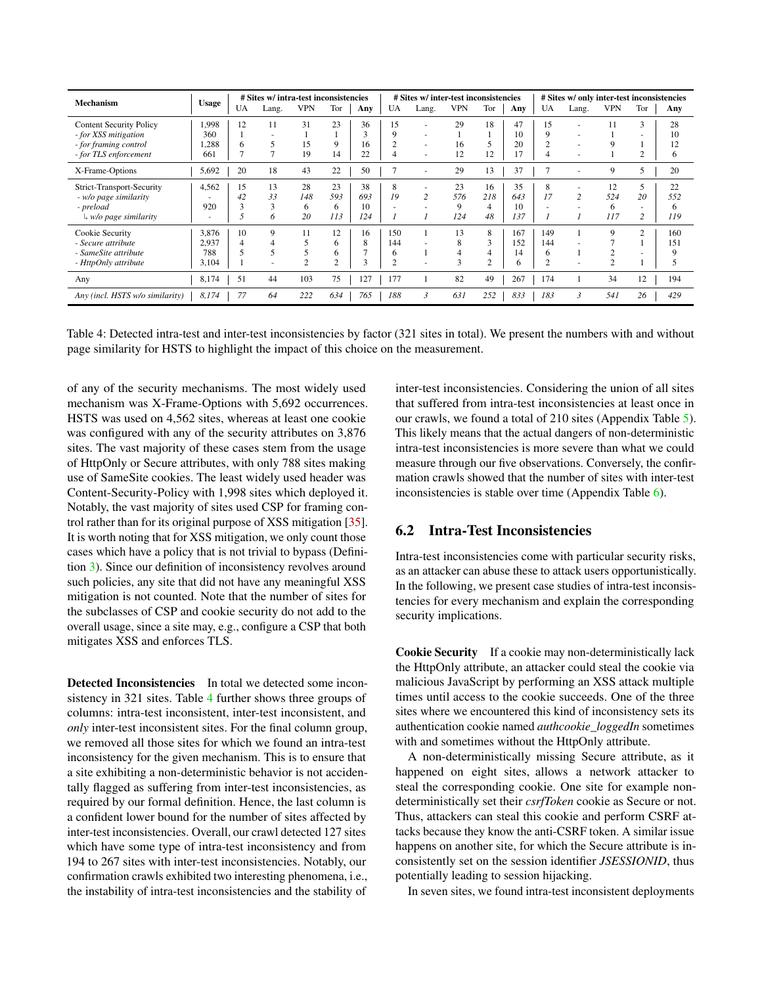| <b>Mechanism</b>                 | <b>Usage</b> | # Sites w/ intra-test inconsistencies |              |                |                |              | # Sites w/ inter-test inconsistencies |                |                |                |     |                | # Sites w/ only inter-test inconsistencies |            |                          |     |  |
|----------------------------------|--------------|---------------------------------------|--------------|----------------|----------------|--------------|---------------------------------------|----------------|----------------|----------------|-----|----------------|--------------------------------------------|------------|--------------------------|-----|--|
|                                  |              | UA                                    | Lang.        | <b>VPN</b>     | Tor            | Any          | UA                                    | Lang.          | <b>VPN</b>     | Tor            | Any | UA             | Lang.                                      | <b>VPN</b> | Tor                      | Any |  |
| <b>Content Security Policy</b>   | 1,998        | 12                                    | 11           | 31             | 23             | 36           | 15                                    |                | 29             | 18             | 47  | 15             |                                            |            | 3                        | 28  |  |
| - for XSS mitigation             | 360          |                                       |              |                |                | $\Delta$     | 9                                     |                |                |                | 10  | 9              |                                            |            |                          | 10  |  |
| - for framing control            | 1.288        | 6                                     |              | 15             | 9              | 16           |                                       |                | 16             | 5              | 20  |                |                                            |            |                          | 12  |  |
| - for TLS enforcement            | 661          | Ξ                                     | $\mathbf{r}$ | 19             | 14             | 22           |                                       | <u>. .</u>     | 12             | 12             |     |                |                                            |            | 2                        | 6   |  |
| X-Frame-Options                  | 5,692        | 20                                    | 18           | 43             | 22             | 50           |                                       |                | 29             | 13             | 37  |                |                                            | 9          | 5                        | 20  |  |
| Strict-Transport-Security        | 4,562        | 15                                    | 13           | 28             | 23             | 38           | 8                                     |                | 23             | 16             | 35  | 8              |                                            | 12         | 5                        | 22  |  |
| - w/o page similarity            |              | 42                                    | 33           | 148            | 593            | 693          | 19                                    | $\overline{c}$ | 576            | 218            | 643 | 17             |                                            | 524        | 20                       | 552 |  |
| - preload                        | 920          | 3                                     | 3            | 6              | 6              | 10           |                                       |                | 9              | 4              | 10  |                |                                            | 6          | ٠                        | 6   |  |
| $\downarrow$ w/o page similarity | ٠            |                                       | 6            | 20             | 113            | 124          |                                       |                | 124            | 48             | 137 |                |                                            | 117        | 2                        | 119 |  |
| Cookie Security                  | 3,876        | 10                                    | 9            | 11             | 12             | 16           | 150                                   |                | 13             | 8              | 167 | 149            |                                            | 9          | $\overline{2}$           | 160 |  |
| - Secure attribute               | 2,937        | 4                                     | 4            | 5              | 6              | 8            | 144                                   |                | 8              | 3              | 152 | 144            |                                            |            |                          | 151 |  |
| - SameSite attribute             | 788          |                                       |              | 5              | 6              | $\mathbf{r}$ | 6                                     |                | $\overline{4}$ | 4              | 14  | 6              |                                            | ◠          | $\overline{\phantom{a}}$ | 9   |  |
| - HttpOnly attribute             | 3,104        |                                       | ٠            | $\mathfrak{2}$ | $\overline{c}$ | 3            | ◠                                     |                | 3              | $\overline{2}$ | h   | $\overline{c}$ |                                            | ∍          |                          |     |  |
| Any                              | 8,174        | 51                                    | 44           | 103            | 75             | 127          | 177                                   |                | 82             | 49             | 267 | 174            |                                            | 34         | 12                       | 194 |  |
| Any (incl. HSTS w/o similarity)  | 8,174        | 77                                    | 64           | 222            | 634            | 765          | 188                                   | $\mathcal{E}$  | 631            | 252            | 833 | 183            | ำ                                          | 541        | 26                       | 429 |  |

Table 4: Detected intra-test and inter-test inconsistencies by factor (321 sites in total). We present the numbers with and without page similarity for HSTS to highlight the impact of this choice on the measurement.

of any of the security mechanisms. The most widely used mechanism was X-Frame-Options with 5,692 occurrences. HSTS was used on 4,562 sites, whereas at least one cookie was configured with any of the security attributes on 3,876 sites. The vast majority of these cases stem from the usage of HttpOnly or Secure attributes, with only 788 sites making use of SameSite cookies. The least widely used header was Content-Security-Policy with 1,998 sites which deployed it. Notably, the vast majority of sites used CSP for framing control rather than for its original purpose of XSS mitigation [\[35\]](#page-16-11). It is worth noting that for XSS mitigation, we only count those cases which have a policy that is not trivial to bypass (Definition [3\)](#page-7-1). Since our definition of inconsistency revolves around such policies, any site that did not have any meaningful XSS mitigation is not counted. Note that the number of sites for the subclasses of CSP and cookie security do not add to the overall usage, since a site may, e.g., configure a CSP that both mitigates XSS and enforces TLS.

Detected Inconsistencies In total we detected some inconsistency in 321 sites. Table [4](#page-9-0) further shows three groups of columns: intra-test inconsistent, inter-test inconsistent, and *only* inter-test inconsistent sites. For the final column group, we removed all those sites for which we found an intra-test inconsistency for the given mechanism. This is to ensure that a site exhibiting a non-deterministic behavior is not accidentally flagged as suffering from inter-test inconsistencies, as required by our formal definition. Hence, the last column is a confident lower bound for the number of sites affected by inter-test inconsistencies. Overall, our crawl detected 127 sites which have some type of intra-test inconsistency and from 194 to 267 sites with inter-test inconsistencies. Notably, our confirmation crawls exhibited two interesting phenomena, i.e., the instability of intra-test inconsistencies and the stability of <span id="page-9-0"></span>inter-test inconsistencies. Considering the union of all sites that suffered from intra-test inconsistencies at least once in our crawls, we found a total of 210 sites (Appendix Table [5\)](#page-16-12). This likely means that the actual dangers of non-deterministic intra-test inconsistencies is more severe than what we could measure through our five observations. Conversely, the confirmation crawls showed that the number of sites with inter-test inconsistencies is stable over time (Appendix Table [6\)](#page-17-0).

### 6.2 Intra-Test Inconsistencies

Intra-test inconsistencies come with particular security risks, as an attacker can abuse these to attack users opportunistically. In the following, we present case studies of intra-test inconsistencies for every mechanism and explain the corresponding security implications.

Cookie Security If a cookie may non-deterministically lack the HttpOnly attribute, an attacker could steal the cookie via malicious JavaScript by performing an XSS attack multiple times until access to the cookie succeeds. One of the three sites where we encountered this kind of inconsistency sets its authentication cookie named *authcookie\_loggedIn* sometimes with and sometimes without the HttpOnly attribute.

A non-deterministically missing Secure attribute, as it happened on eight sites, allows a network attacker to steal the corresponding cookie. One site for example nondeterministically set their *csrfToken* cookie as Secure or not. Thus, attackers can steal this cookie and perform CSRF attacks because they know the anti-CSRF token. A similar issue happens on another site, for which the Secure attribute is inconsistently set on the session identifier *JSESSIONID*, thus potentially leading to session hijacking.

In seven sites, we found intra-test inconsistent deployments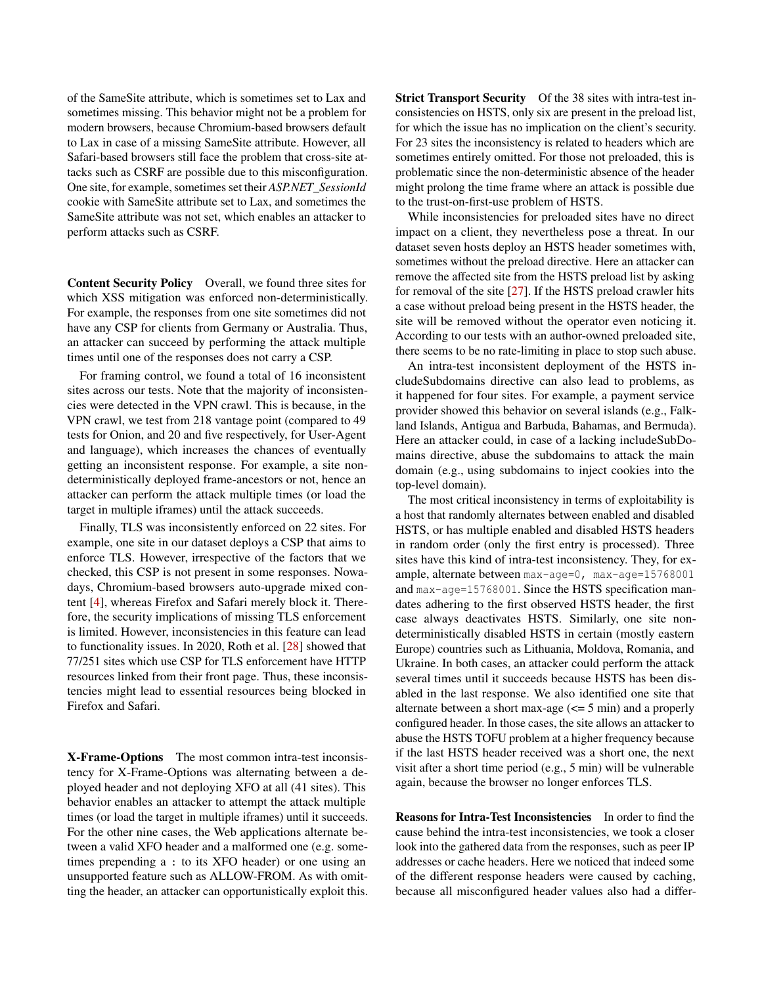of the SameSite attribute, which is sometimes set to Lax and sometimes missing. This behavior might not be a problem for modern browsers, because Chromium-based browsers default to Lax in case of a missing SameSite attribute. However, all Safari-based browsers still face the problem that cross-site attacks such as CSRF are possible due to this misconfiguration. One site, for example, sometimes set their *ASP.NET\_SessionId* cookie with SameSite attribute set to Lax, and sometimes the SameSite attribute was not set, which enables an attacker to perform attacks such as CSRF.

Content Security Policy Overall, we found three sites for which XSS mitigation was enforced non-deterministically. For example, the responses from one site sometimes did not have any CSP for clients from Germany or Australia. Thus, an attacker can succeed by performing the attack multiple times until one of the responses does not carry a CSP.

For framing control, we found a total of 16 inconsistent sites across our tests. Note that the majority of inconsistencies were detected in the VPN crawl. This is because, in the VPN crawl, we test from 218 vantage point (compared to 49 tests for Onion, and 20 and five respectively, for User-Agent and language), which increases the chances of eventually getting an inconsistent response. For example, a site nondeterministically deployed frame-ancestors or not, hence an attacker can perform the attack multiple times (or load the target in multiple iframes) until the attack succeeds.

Finally, TLS was inconsistently enforced on 22 sites. For example, one site in our dataset deploys a CSP that aims to enforce TLS. However, irrespective of the factors that we checked, this CSP is not present in some responses. Nowadays, Chromium-based browsers auto-upgrade mixed content [\[4\]](#page-15-25), whereas Firefox and Safari merely block it. Therefore, the security implications of missing TLS enforcement is limited. However, inconsistencies in this feature can lead to functionality issues. In 2020, Roth et al. [\[28\]](#page-15-1) showed that 77/251 sites which use CSP for TLS enforcement have HTTP resources linked from their front page. Thus, these inconsistencies might lead to essential resources being blocked in Firefox and Safari.

X-Frame-Options The most common intra-test inconsistency for X-Frame-Options was alternating between a deployed header and not deploying XFO at all (41 sites). This behavior enables an attacker to attempt the attack multiple times (or load the target in multiple iframes) until it succeeds. For the other nine cases, the Web applications alternate between a valid XFO header and a malformed one (e.g. sometimes prepending a : to its XFO header) or one using an unsupported feature such as ALLOW-FROM. As with omitting the header, an attacker can opportunistically exploit this. Strict Transport Security Of the 38 sites with intra-test inconsistencies on HSTS, only six are present in the preload list, for which the issue has no implication on the client's security. For 23 sites the inconsistency is related to headers which are sometimes entirely omitted. For those not preloaded, this is problematic since the non-deterministic absence of the header might prolong the time frame where an attack is possible due to the trust-on-first-use problem of HSTS.

While inconsistencies for preloaded sites have no direct impact on a client, they nevertheless pose a threat. In our dataset seven hosts deploy an HSTS header sometimes with, sometimes without the preload directive. Here an attacker can remove the affected site from the HSTS preload list by asking for removal of the site [\[27\]](#page-15-10). If the HSTS preload crawler hits a case without preload being present in the HSTS header, the site will be removed without the operator even noticing it. According to our tests with an author-owned preloaded site, there seems to be no rate-limiting in place to stop such abuse.

An intra-test inconsistent deployment of the HSTS includeSubdomains directive can also lead to problems, as it happened for four sites. For example, a payment service provider showed this behavior on several islands (e.g., Falkland Islands, Antigua and Barbuda, Bahamas, and Bermuda). Here an attacker could, in case of a lacking includeSubDomains directive, abuse the subdomains to attack the main domain (e.g., using subdomains to inject cookies into the top-level domain).

The most critical inconsistency in terms of exploitability is a host that randomly alternates between enabled and disabled HSTS, or has multiple enabled and disabled HSTS headers in random order (only the first entry is processed). Three sites have this kind of intra-test inconsistency. They, for example, alternate between max-age=0, max-age=15768001 and max-age=15768001. Since the HSTS specification mandates adhering to the first observed HSTS header, the first case always deactivates HSTS. Similarly, one site nondeterministically disabled HSTS in certain (mostly eastern Europe) countries such as Lithuania, Moldova, Romania, and Ukraine. In both cases, an attacker could perform the attack several times until it succeeds because HSTS has been disabled in the last response. We also identified one site that alternate between a short max-age  $\leq$  = 5 min) and a properly configured header. In those cases, the site allows an attacker to abuse the HSTS TOFU problem at a higher frequency because if the last HSTS header received was a short one, the next visit after a short time period (e.g., 5 min) will be vulnerable again, because the browser no longer enforces TLS.

Reasons for Intra-Test Inconsistencies In order to find the cause behind the intra-test inconsistencies, we took a closer look into the gathered data from the responses, such as peer IP addresses or cache headers. Here we noticed that indeed some of the different response headers were caused by caching, because all misconfigured header values also had a differ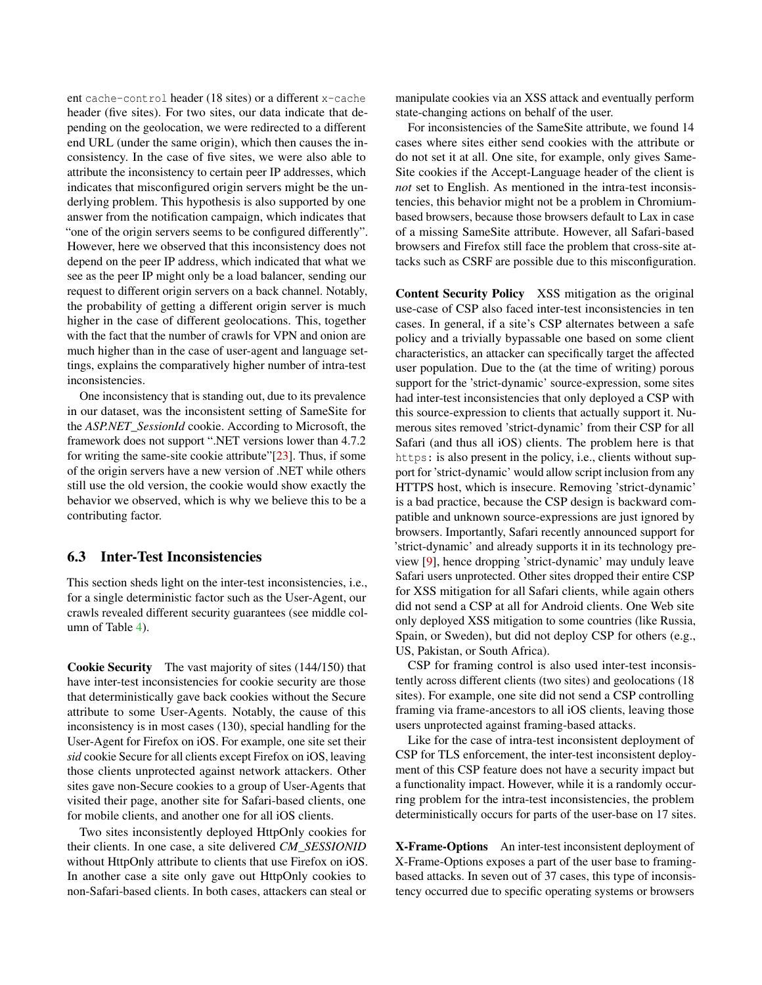ent cache-control header (18 sites) or a different x-cache header (five sites). For two sites, our data indicate that depending on the geolocation, we were redirected to a different end URL (under the same origin), which then causes the inconsistency. In the case of five sites, we were also able to attribute the inconsistency to certain peer IP addresses, which indicates that misconfigured origin servers might be the underlying problem. This hypothesis is also supported by one answer from the notification campaign, which indicates that "one of the origin servers seems to be configured differently". However, here we observed that this inconsistency does not depend on the peer IP address, which indicated that what we see as the peer IP might only be a load balancer, sending our request to different origin servers on a back channel. Notably, the probability of getting a different origin server is much higher in the case of different geolocations. This, together with the fact that the number of crawls for VPN and onion are much higher than in the case of user-agent and language settings, explains the comparatively higher number of intra-test inconsistencies.

One inconsistency that is standing out, due to its prevalence in our dataset, was the inconsistent setting of SameSite for the *ASP.NET\_SessionId* cookie. According to Microsoft, the framework does not support ".NET versions lower than 4.7.2 for writing the same-site cookie attribute"[\[23\]](#page-15-26). Thus, if some of the origin servers have a new version of .NET while others still use the old version, the cookie would show exactly the behavior we observed, which is why we believe this to be a contributing factor.

### 6.3 Inter-Test Inconsistencies

This section sheds light on the inter-test inconsistencies, i.e., for a single deterministic factor such as the User-Agent, our crawls revealed different security guarantees (see middle column of Table [4\)](#page-9-0).

Cookie Security The vast majority of sites (144/150) that have inter-test inconsistencies for cookie security are those that deterministically gave back cookies without the Secure attribute to some User-Agents. Notably, the cause of this inconsistency is in most cases (130), special handling for the User-Agent for Firefox on iOS. For example, one site set their *sid* cookie Secure for all clients except Firefox on iOS, leaving those clients unprotected against network attackers. Other sites gave non-Secure cookies to a group of User-Agents that visited their page, another site for Safari-based clients, one for mobile clients, and another one for all iOS clients.

Two sites inconsistently deployed HttpOnly cookies for their clients. In one case, a site delivered *CM\_SESSIONID* without HttpOnly attribute to clients that use Firefox on iOS. In another case a site only gave out HttpOnly cookies to non-Safari-based clients. In both cases, attackers can steal or

manipulate cookies via an XSS attack and eventually perform state-changing actions on behalf of the user.

For inconsistencies of the SameSite attribute, we found 14 cases where sites either send cookies with the attribute or do not set it at all. One site, for example, only gives Same-Site cookies if the Accept-Language header of the client is *not* set to English. As mentioned in the intra-test inconsistencies, this behavior might not be a problem in Chromiumbased browsers, because those browsers default to Lax in case of a missing SameSite attribute. However, all Safari-based browsers and Firefox still face the problem that cross-site attacks such as CSRF are possible due to this misconfiguration.

<span id="page-11-0"></span>Content Security Policy XSS mitigation as the original use-case of CSP also faced inter-test inconsistencies in ten cases. In general, if a site's CSP alternates between a safe policy and a trivially bypassable one based on some client characteristics, an attacker can specifically target the affected user population. Due to the (at the time of writing) porous support for the 'strict-dynamic' source-expression, some sites had inter-test inconsistencies that only deployed a CSP with this source-expression to clients that actually support it. Numerous sites removed 'strict-dynamic' from their CSP for all Safari (and thus all iOS) clients. The problem here is that https: is also present in the policy, i.e., clients without support for 'strict-dynamic' would allow script inclusion from any HTTPS host, which is insecure. Removing 'strict-dynamic' is a bad practice, because the CSP design is backward compatible and unknown source-expressions are just ignored by browsers. Importantly, Safari recently announced support for 'strict-dynamic' and already supports it in its technology preview [\[9\]](#page-15-27), hence dropping 'strict-dynamic' may unduly leave Safari users unprotected. Other sites dropped their entire CSP for XSS mitigation for all Safari clients, while again others did not send a CSP at all for Android clients. One Web site only deployed XSS mitigation to some countries (like Russia, Spain, or Sweden), but did not deploy CSP for others (e.g., US, Pakistan, or South Africa).

CSP for framing control is also used inter-test inconsistently across different clients (two sites) and geolocations (18 sites). For example, one site did not send a CSP controlling framing via frame-ancestors to all iOS clients, leaving those users unprotected against framing-based attacks.

Like for the case of intra-test inconsistent deployment of CSP for TLS enforcement, the inter-test inconsistent deployment of this CSP feature does not have a security impact but a functionality impact. However, while it is a randomly occurring problem for the intra-test inconsistencies, the problem deterministically occurs for parts of the user-base on 17 sites.

X-Frame-Options An inter-test inconsistent deployment of X-Frame-Options exposes a part of the user base to framingbased attacks. In seven out of 37 cases, this type of inconsistency occurred due to specific operating systems or browsers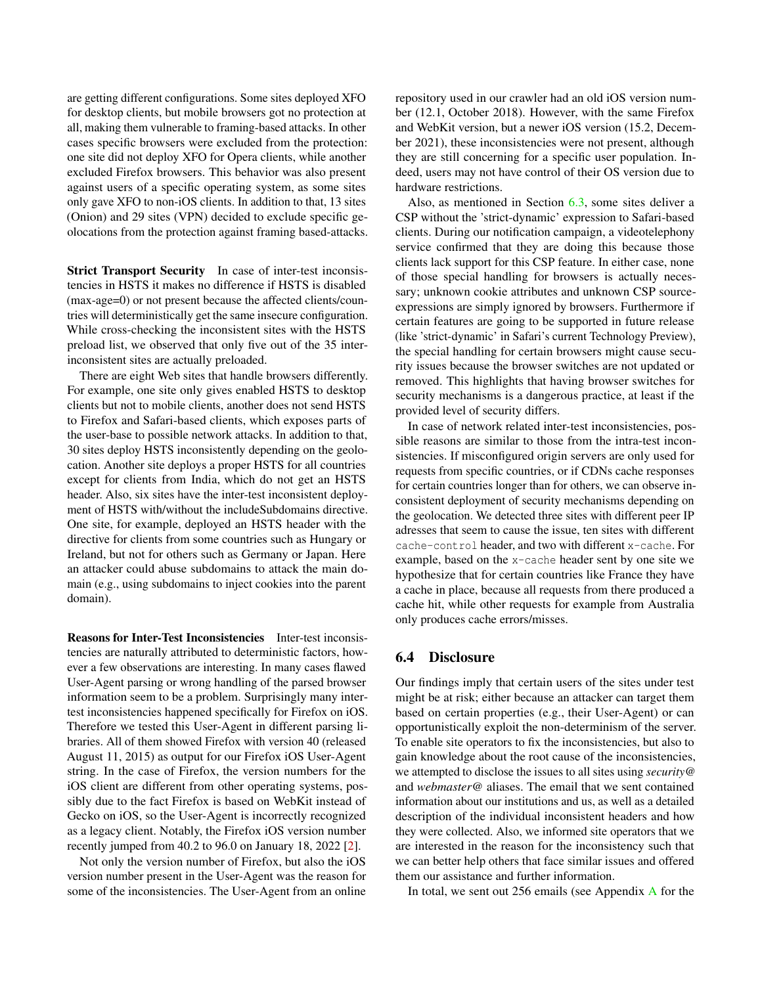are getting different configurations. Some sites deployed XFO for desktop clients, but mobile browsers got no protection at all, making them vulnerable to framing-based attacks. In other cases specific browsers were excluded from the protection: one site did not deploy XFO for Opera clients, while another excluded Firefox browsers. This behavior was also present against users of a specific operating system, as some sites only gave XFO to non-iOS clients. In addition to that, 13 sites (Onion) and 29 sites (VPN) decided to exclude specific geolocations from the protection against framing based-attacks.

Strict Transport Security In case of inter-test inconsistencies in HSTS it makes no difference if HSTS is disabled (max-age=0) or not present because the affected clients/countries will deterministically get the same insecure configuration. While cross-checking the inconsistent sites with the HSTS preload list, we observed that only five out of the 35 interinconsistent sites are actually preloaded.

There are eight Web sites that handle browsers differently. For example, one site only gives enabled HSTS to desktop clients but not to mobile clients, another does not send HSTS to Firefox and Safari-based clients, which exposes parts of the user-base to possible network attacks. In addition to that, 30 sites deploy HSTS inconsistently depending on the geolocation. Another site deploys a proper HSTS for all countries except for clients from India, which do not get an HSTS header. Also, six sites have the inter-test inconsistent deployment of HSTS with/without the includeSubdomains directive. One site, for example, deployed an HSTS header with the directive for clients from some countries such as Hungary or Ireland, but not for others such as Germany or Japan. Here an attacker could abuse subdomains to attack the main domain (e.g., using subdomains to inject cookies into the parent domain).

Reasons for Inter-Test Inconsistencies Inter-test inconsistencies are naturally attributed to deterministic factors, however a few observations are interesting. In many cases flawed User-Agent parsing or wrong handling of the parsed browser information seem to be a problem. Surprisingly many intertest inconsistencies happened specifically for Firefox on iOS. Therefore we tested this User-Agent in different parsing libraries. All of them showed Firefox with version 40 (released August 11, 2015) as output for our Firefox iOS User-Agent string. In the case of Firefox, the version numbers for the iOS client are different from other operating systems, possibly due to the fact Firefox is based on WebKit instead of Gecko on iOS, so the User-Agent is incorrectly recognized as a legacy client. Notably, the Firefox iOS version number recently jumped from 40.2 to 96.0 on January 18, 2022 [\[2\]](#page-14-2).

Not only the version number of Firefox, but also the iOS version number present in the User-Agent was the reason for some of the inconsistencies. The User-Agent from an online repository used in our crawler had an old iOS version number (12.1, October 2018). However, with the same Firefox and WebKit version, but a newer iOS version (15.2, December 2021), these inconsistencies were not present, although they are still concerning for a specific user population. Indeed, users may not have control of their OS version due to hardware restrictions.

Also, as mentioned in Section [6.3,](#page-11-0) some sites deliver a CSP without the 'strict-dynamic' expression to Safari-based clients. During our notification campaign, a videotelephony service confirmed that they are doing this because those clients lack support for this CSP feature. In either case, none of those special handling for browsers is actually necessary; unknown cookie attributes and unknown CSP sourceexpressions are simply ignored by browsers. Furthermore if certain features are going to be supported in future release (like 'strict-dynamic' in Safari's current Technology Preview), the special handling for certain browsers might cause security issues because the browser switches are not updated or removed. This highlights that having browser switches for security mechanisms is a dangerous practice, at least if the provided level of security differs.

In case of network related inter-test inconsistencies, possible reasons are similar to those from the intra-test inconsistencies. If misconfigured origin servers are only used for requests from specific countries, or if CDNs cache responses for certain countries longer than for others, we can observe inconsistent deployment of security mechanisms depending on the geolocation. We detected three sites with different peer IP adresses that seem to cause the issue, ten sites with different cache-control header, and two with different x-cache. For example, based on the x-cache header sent by one site we hypothesize that for certain countries like France they have a cache in place, because all requests from there produced a cache hit, while other requests for example from Australia only produces cache errors/misses.

#### 6.4 Disclosure

Our findings imply that certain users of the sites under test might be at risk; either because an attacker can target them based on certain properties (e.g., their User-Agent) or can opportunistically exploit the non-determinism of the server. To enable site operators to fix the inconsistencies, but also to gain knowledge about the root cause of the inconsistencies, we attempted to disclose the issues to all sites using *security@* and *webmaster@* aliases. The email that we sent contained information about our institutions and us, as well as a detailed description of the individual inconsistent headers and how they were collected. Also, we informed site operators that we are interested in the reason for the inconsistency such that we can better help others that face similar issues and offered them our assistance and further information.

In total, we sent out 256 emails (see Appendix [A](#page-16-13) for the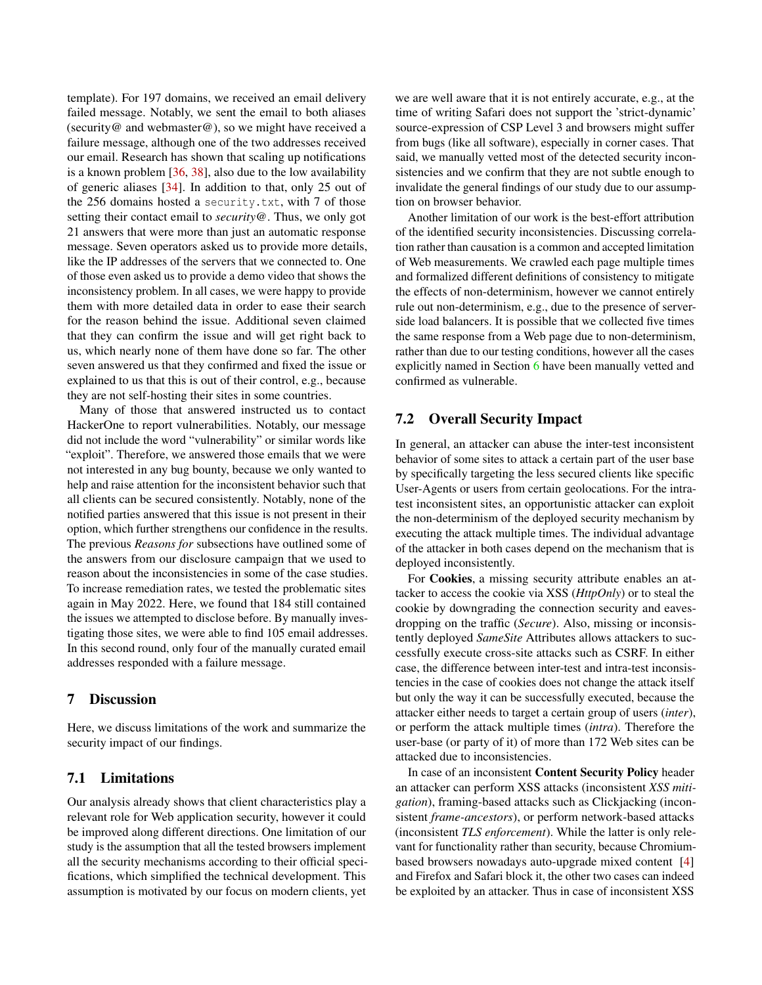template). For 197 domains, we received an email delivery failed message. Notably, we sent the email to both aliases (security@ and webmaster@), so we might have received a failure message, although one of the two addresses received our email. Research has shown that scaling up notifications is a known problem [\[36,](#page-16-14) [38\]](#page-16-15), also due to the low availability of generic aliases [\[34\]](#page-16-16). In addition to that, only 25 out of the 256 domains hosted a security.txt, with 7 of those setting their contact email to *security@*. Thus, we only got 21 answers that were more than just an automatic response message. Seven operators asked us to provide more details, like the IP addresses of the servers that we connected to. One of those even asked us to provide a demo video that shows the inconsistency problem. In all cases, we were happy to provide them with more detailed data in order to ease their search for the reason behind the issue. Additional seven claimed that they can confirm the issue and will get right back to us, which nearly none of them have done so far. The other seven answered us that they confirmed and fixed the issue or explained to us that this is out of their control, e.g., because they are not self-hosting their sites in some countries.

Many of those that answered instructed us to contact HackerOne to report vulnerabilities. Notably, our message did not include the word "vulnerability" or similar words like "exploit". Therefore, we answered those emails that we were not interested in any bug bounty, because we only wanted to help and raise attention for the inconsistent behavior such that all clients can be secured consistently. Notably, none of the notified parties answered that this issue is not present in their option, which further strengthens our confidence in the results. The previous *Reasons for* subsections have outlined some of the answers from our disclosure campaign that we used to reason about the inconsistencies in some of the case studies. To increase remediation rates, we tested the problematic sites again in May 2022. Here, we found that 184 still contained the issues we attempted to disclose before. By manually investigating those sites, we were able to find 105 email addresses. In this second round, only four of the manually curated email addresses responded with a failure message.

## 7 Discussion

Here, we discuss limitations of the work and summarize the security impact of our findings.

#### 7.1 Limitations

Our analysis already shows that client characteristics play a relevant role for Web application security, however it could be improved along different directions. One limitation of our study is the assumption that all the tested browsers implement all the security mechanisms according to their official specifications, which simplified the technical development. This assumption is motivated by our focus on modern clients, yet

we are well aware that it is not entirely accurate, e.g., at the time of writing Safari does not support the 'strict-dynamic' source-expression of CSP Level 3 and browsers might suffer from bugs (like all software), especially in corner cases. That said, we manually vetted most of the detected security inconsistencies and we confirm that they are not subtle enough to invalidate the general findings of our study due to our assumption on browser behavior.

Another limitation of our work is the best-effort attribution of the identified security inconsistencies. Discussing correlation rather than causation is a common and accepted limitation of Web measurements. We crawled each page multiple times and formalized different definitions of consistency to mitigate the effects of non-determinism, however we cannot entirely rule out non-determinism, e.g., due to the presence of serverside load balancers. It is possible that we collected five times the same response from a Web page due to non-determinism, rather than due to our testing conditions, however all the cases explicitly named in Section [6](#page-8-1) have been manually vetted and confirmed as vulnerable.

# 7.2 Overall Security Impact

In general, an attacker can abuse the inter-test inconsistent behavior of some sites to attack a certain part of the user base by specifically targeting the less secured clients like specific User-Agents or users from certain geolocations. For the intratest inconsistent sites, an opportunistic attacker can exploit the non-determinism of the deployed security mechanism by executing the attack multiple times. The individual advantage of the attacker in both cases depend on the mechanism that is deployed inconsistently.

For Cookies, a missing security attribute enables an attacker to access the cookie via XSS (*HttpOnly*) or to steal the cookie by downgrading the connection security and eavesdropping on the traffic (*Secure*). Also, missing or inconsistently deployed *SameSite* Attributes allows attackers to successfully execute cross-site attacks such as CSRF. In either case, the difference between inter-test and intra-test inconsistencies in the case of cookies does not change the attack itself but only the way it can be successfully executed, because the attacker either needs to target a certain group of users (*inter*), or perform the attack multiple times (*intra*). Therefore the user-base (or party of it) of more than 172 Web sites can be attacked due to inconsistencies.

In case of an inconsistent Content Security Policy header an attacker can perform XSS attacks (inconsistent *XSS mitigation*), framing-based attacks such as Clickjacking (inconsistent *frame-ancestors*), or perform network-based attacks (inconsistent *TLS enforcement*). While the latter is only relevant for functionality rather than security, because Chromiumbased browsers nowadays auto-upgrade mixed content [\[4\]](#page-15-25) and Firefox and Safari block it, the other two cases can indeed be exploited by an attacker. Thus in case of inconsistent XSS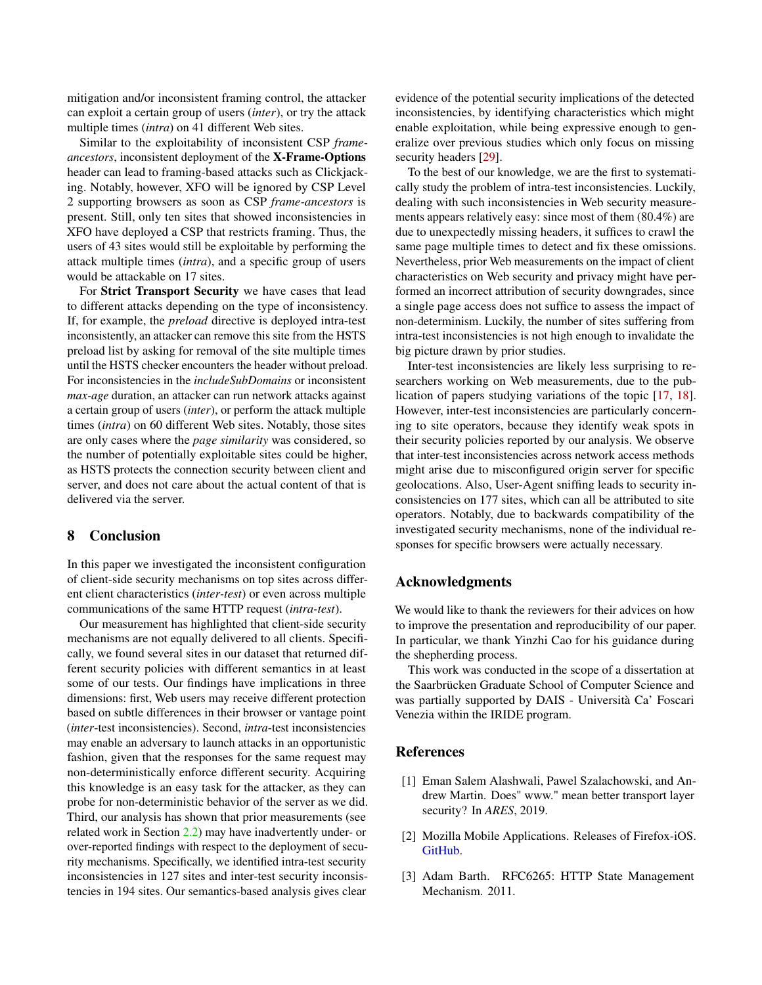mitigation and/or inconsistent framing control, the attacker can exploit a certain group of users (*inter*), or try the attack multiple times (*intra*) on 41 different Web sites.

Similar to the exploitability of inconsistent CSP *frameancestors*, inconsistent deployment of the X-Frame-Options header can lead to framing-based attacks such as Clickjacking. Notably, however, XFO will be ignored by CSP Level 2 supporting browsers as soon as CSP *frame-ancestors* is present. Still, only ten sites that showed inconsistencies in XFO have deployed a CSP that restricts framing. Thus, the users of 43 sites would still be exploitable by performing the attack multiple times (*intra*), and a specific group of users would be attackable on 17 sites.

For Strict Transport Security we have cases that lead to different attacks depending on the type of inconsistency. If, for example, the *preload* directive is deployed intra-test inconsistently, an attacker can remove this site from the HSTS preload list by asking for removal of the site multiple times until the HSTS checker encounters the header without preload. For inconsistencies in the *includeSubDomains* or inconsistent *max-age* duration, an attacker can run network attacks against a certain group of users (*inter*), or perform the attack multiple times (*intra*) on 60 different Web sites. Notably, those sites are only cases where the *page similarity* was considered, so the number of potentially exploitable sites could be higher, as HSTS protects the connection security between client and server, and does not care about the actual content of that is delivered via the server.

# 8 Conclusion

In this paper we investigated the inconsistent configuration of client-side security mechanisms on top sites across different client characteristics (*inter-test*) or even across multiple communications of the same HTTP request (*intra-test*).

Our measurement has highlighted that client-side security mechanisms are not equally delivered to all clients. Specifically, we found several sites in our dataset that returned different security policies with different semantics in at least some of our tests. Our findings have implications in three dimensions: first, Web users may receive different protection based on subtle differences in their browser or vantage point (*inter*-test inconsistencies). Second, *intra*-test inconsistencies may enable an adversary to launch attacks in an opportunistic fashion, given that the responses for the same request may non-deterministically enforce different security. Acquiring this knowledge is an easy task for the attacker, as they can probe for non-deterministic behavior of the server as we did. Third, our analysis has shown that prior measurements (see related work in Section [2.2\)](#page-2-0) may have inadvertently under- or over-reported findings with respect to the deployment of security mechanisms. Specifically, we identified intra-test security inconsistencies in 127 sites and inter-test security inconsistencies in 194 sites. Our semantics-based analysis gives clear

evidence of the potential security implications of the detected inconsistencies, by identifying characteristics which might enable exploitation, while being expressive enough to generalize over previous studies which only focus on missing security headers [\[29\]](#page-15-18).

To the best of our knowledge, we are the first to systematically study the problem of intra-test inconsistencies. Luckily, dealing with such inconsistencies in Web security measurements appears relatively easy: since most of them (80.4%) are due to unexpectedly missing headers, it suffices to crawl the same page multiple times to detect and fix these omissions. Nevertheless, prior Web measurements on the impact of client characteristics on Web security and privacy might have performed an incorrect attribution of security downgrades, since a single page access does not suffice to assess the impact of non-determinism. Luckily, the number of sites suffering from intra-test inconsistencies is not high enough to invalidate the big picture drawn by prior studies.

Inter-test inconsistencies are likely less surprising to researchers working on Web measurements, due to the publication of papers studying variations of the topic [\[17,](#page-15-14) [18\]](#page-15-3). However, inter-test inconsistencies are particularly concerning to site operators, because they identify weak spots in their security policies reported by our analysis. We observe that inter-test inconsistencies across network access methods might arise due to misconfigured origin server for specific geolocations. Also, User-Agent sniffing leads to security inconsistencies on 177 sites, which can all be attributed to site operators. Notably, due to backwards compatibility of the investigated security mechanisms, none of the individual responses for specific browsers were actually necessary.

### Acknowledgments

We would like to thank the reviewers for their advices on how to improve the presentation and reproducibility of our paper. In particular, we thank Yinzhi Cao for his guidance during the shepherding process.

This work was conducted in the scope of a dissertation at the Saarbrücken Graduate School of Computer Science and was partially supported by DAIS - Università Ca' Foscari Venezia within the IRIDE program.

### References

- <span id="page-14-0"></span>[1] Eman Salem Alashwali, Pawel Szalachowski, and Andrew Martin. Does" www." mean better transport layer security? In *ARES*, 2019.
- <span id="page-14-2"></span>[2] Mozilla Mobile Applications. Releases of Firefox-iOS. [GitHub.](https://github.com/mozilla-mobile/firefox-ios/releases)
- <span id="page-14-1"></span>[3] Adam Barth. RFC6265: HTTP State Management Mechanism. 2011.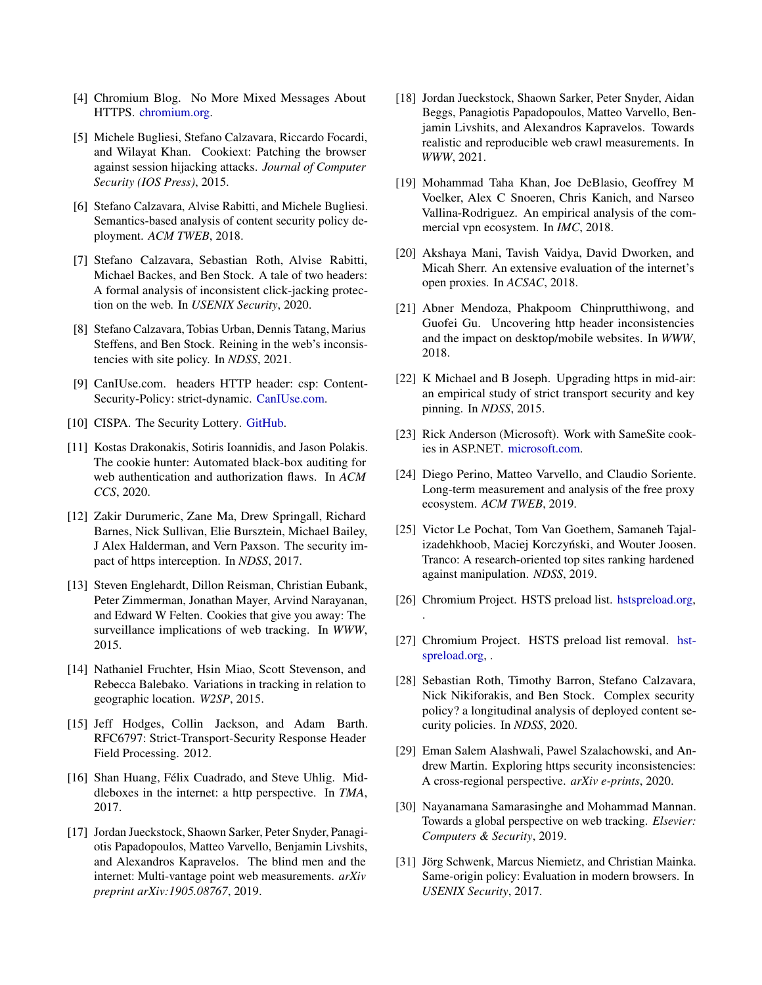- <span id="page-15-25"></span>[4] Chromium Blog. No More Mixed Messages About HTTPS. [chromium.org.](https://blog.chromium.org/2019/10/no-more-mixed-messages-about-https.html)
- <span id="page-15-0"></span>[5] Michele Bugliesi, Stefano Calzavara, Riccardo Focardi, and Wilayat Khan. Cookiext: Patching the browser against session hijacking attacks. *Journal of Computer Security (IOS Press)*, 2015.
- <span id="page-15-6"></span>[6] Stefano Calzavara, Alvise Rabitti, and Michele Bugliesi. Semantics-based analysis of content security policy deployment. *ACM TWEB*, 2018.
- <span id="page-15-8"></span>[7] Stefano Calzavara, Sebastian Roth, Alvise Rabitti, Michael Backes, and Ben Stock. A tale of two headers: A formal analysis of inconsistent click-jacking protection on the web. In *USENIX Security*, 2020.
- <span id="page-15-13"></span>[8] Stefano Calzavara, Tobias Urban, Dennis Tatang, Marius Steffens, and Ben Stock. Reining in the web's inconsistencies with site policy. In *NDSS*, 2021.
- <span id="page-15-27"></span>[9] CanIUse.com. headers HTTP header: csp: Content-Security-Policy: strict-dynamic. [CanIUse.com.](https://caniuse.com/mdn-http_headers_csp_content-security-policy_strict-dynamic)
- <span id="page-15-24"></span>[10] CISPA. The Security Lottery. [GitHub.](https://github.com/cispa/the-security-lottery)
- <span id="page-15-7"></span>[11] Kostas Drakonakis, Sotiris Ioannidis, and Jason Polakis. The cookie hunter: Automated black-box auditing for web authentication and authorization flaws. In *ACM CCS*, 2020.
- <span id="page-15-19"></span>[12] Zakir Durumeric, Zane Ma, Drew Springall, Richard Barnes, Nick Sullivan, Elie Bursztein, Michael Bailey, J Alex Halderman, and Vern Paxson. The security impact of https interception. In *NDSS*, 2017.
- <span id="page-15-15"></span>[13] Steven Englehardt, Dillon Reisman, Christian Eubank, Peter Zimmerman, Jonathan Mayer, Arvind Narayanan, and Edward W Felten. Cookies that give you away: The surveillance implications of web tracking. In *WWW*, 2015.
- <span id="page-15-16"></span>[14] Nathaniel Fruchter, Hsin Miao, Scott Stevenson, and Rebecca Balebako. Variations in tracking in relation to geographic location. *W2SP*, 2015.
- <span id="page-15-23"></span>[15] Jeff Hodges, Collin Jackson, and Adam Barth. RFC6797: Strict-Transport-Security Response Header Field Processing. 2012.
- <span id="page-15-4"></span>[16] Shan Huang, Félix Cuadrado, and Steve Uhlig. Middleboxes in the internet: a http perspective. In *TMA*, 2017.
- <span id="page-15-14"></span>[17] Jordan Jueckstock, Shaown Sarker, Peter Snyder, Panagiotis Papadopoulos, Matteo Varvello, Benjamin Livshits, and Alexandros Kapravelos. The blind men and the internet: Multi-vantage point web measurements. *arXiv preprint arXiv:1905.08767*, 2019.
- <span id="page-15-3"></span>[18] Jordan Jueckstock, Shaown Sarker, Peter Snyder, Aidan Beggs, Panagiotis Papadopoulos, Matteo Varvello, Benjamin Livshits, and Alexandros Kapravelos. Towards realistic and reproducible web crawl measurements. In *WWW*, 2021.
- <span id="page-15-20"></span>[19] Mohammad Taha Khan, Joe DeBlasio, Geoffrey M Voelker, Alex C Snoeren, Chris Kanich, and Narseo Vallina-Rodriguez. An empirical analysis of the commercial vpn ecosystem. In *IMC*, 2018.
- <span id="page-15-21"></span>[20] Akshaya Mani, Tavish Vaidya, David Dworken, and Micah Sherr. An extensive evaluation of the internet's open proxies. In *ACSAC*, 2018.
- <span id="page-15-11"></span>[21] Abner Mendoza, Phakpoom Chinprutthiwong, and Guofei Gu. Uncovering http header inconsistencies and the impact on desktop/mobile websites. In *WWW*, 2018.
- <span id="page-15-2"></span>[22] K Michael and B Joseph. Upgrading https in mid-air: an empirical study of strict transport security and key pinning. In *NDSS*, 2015.
- <span id="page-15-26"></span>[23] Rick Anderson (Microsoft). Work with SameSite cookies in ASP.NET. [microsoft.com.](https://docs.microsoft.com/en-us/aspnet/samesite/system-web-samesite)
- <span id="page-15-22"></span>[24] Diego Perino, Matteo Varvello, and Claudio Soriente. Long-term measurement and analysis of the free proxy ecosystem. *ACM TWEB*, 2019.
- <span id="page-15-5"></span>[25] Victor Le Pochat, Tom Van Goethem, Samaneh Tajalizadehkhoob, Maciej Korczyński, and Wouter Joosen. Tranco: A research-oriented top sites ranking hardened against manipulation. *NDSS*, 2019.
- <span id="page-15-9"></span>[26] Chromium Project. HSTS preload list. [hstspreload.org,](https://hstspreload.org/)

.

- <span id="page-15-10"></span>[27] Chromium Project. HSTS preload list removal. [hst](https://hstspreload.org/removal)[spreload.org,](https://hstspreload.org/removal) .
- <span id="page-15-1"></span>[28] Sebastian Roth, Timothy Barron, Stefano Calzavara, Nick Nikiforakis, and Ben Stock. Complex security policy? a longitudinal analysis of deployed content security policies. In *NDSS*, 2020.
- <span id="page-15-18"></span>[29] Eman Salem Alashwali, Pawel Szalachowski, and Andrew Martin. Exploring https security inconsistencies: A cross-regional perspective. *arXiv e-prints*, 2020.
- <span id="page-15-17"></span>[30] Nayanamana Samarasinghe and Mohammad Mannan. Towards a global perspective on web tracking. *Elsevier: Computers & Security*, 2019.
- <span id="page-15-12"></span>[31] Jörg Schwenk, Marcus Niemietz, and Christian Mainka. Same-origin policy: Evaluation in modern browsers. In *USENIX Security*, 2017.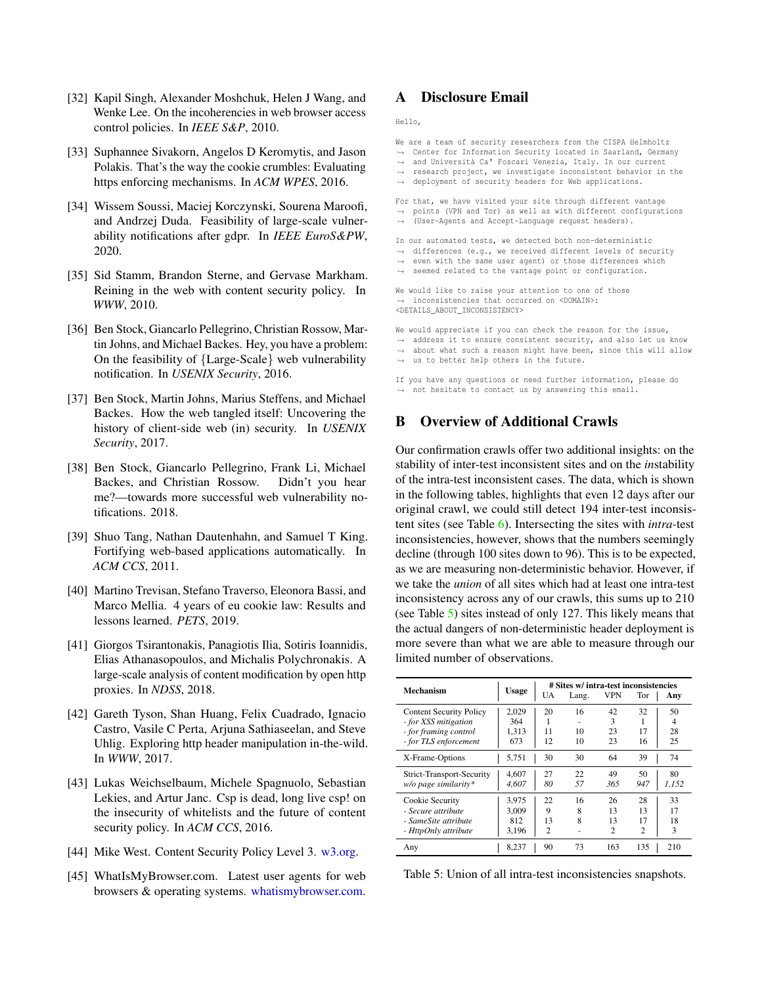- <span id="page-16-4"></span>[32] Kapil Singh, Alexander Moshchuk, Helen J Wang, and Wenke Lee. On the incoherencies in web browser access control policies. In *IEEE S&P*, 2010.
- <span id="page-16-3"></span>[33] Suphannee Sivakorn, Angelos D Keromytis, and Jason Polakis. That's the way the cookie crumbles: Evaluating https enforcing mechanisms. In *ACM WPES*, 2016.
- <span id="page-16-16"></span>[34] Wissem Soussi, Maciej Korczynski, Sourena Maroofi, and Andrzej Duda. Feasibility of large-scale vulnerability notifications after gdpr. In *IEEE EuroS&PW*, 2020.
- <span id="page-16-11"></span>[35] Sid Stamm, Brandon Sterne, and Gervase Markham. Reining in the web with content security policy. In *WWW*, 2010.
- <span id="page-16-14"></span>[36] Ben Stock, Giancarlo Pellegrino, Christian Rossow, Martin Johns, and Michael Backes. Hey, you have a problem: On the feasibility of {Large-Scale} web vulnerability notification. In *USENIX Security*, 2016.
- <span id="page-16-0"></span>[37] Ben Stock, Martin Johns, Marius Steffens, and Michael Backes. How the web tangled itself: Uncovering the history of client-side web (in) security. In *USENIX Security*, 2017.
- <span id="page-16-15"></span>[38] Ben Stock, Giancarlo Pellegrino, Frank Li, Michael Backes, and Christian Rossow. Didn't you hear me?—towards more successful web vulnerability notifications. 2018.
- <span id="page-16-1"></span>[39] Shuo Tang, Nathan Dautenhahn, and Samuel T King. Fortifying web-based applications automatically. In *ACM CCS*, 2011.
- <span id="page-16-5"></span>[40] Martino Trevisan, Stefano Traverso, Eleonora Bassi, and Marco Mellia. 4 years of eu cookie law: Results and lessons learned. *PETS*, 2019.
- <span id="page-16-6"></span>[41] Giorgos Tsirantonakis, Panagiotis Ilia, Sotiris Ioannidis, Elias Athanasopoulos, and Michalis Polychronakis. A large-scale analysis of content modification by open http proxies. In *NDSS*, 2018.
- <span id="page-16-7"></span>[42] Gareth Tyson, Shan Huang, Felix Cuadrado, Ignacio Castro, Vasile C Perta, Arjuna Sathiaseelan, and Steve Uhlig. Exploring http header manipulation in-the-wild. In *WWW*, 2017.
- <span id="page-16-2"></span>[43] Lukas Weichselbaum, Michele Spagnuolo, Sebastian Lekies, and Artur Janc. Csp is dead, long live csp! on the insecurity of whitelists and the future of content security policy. In *ACM CCS*, 2016.
- <span id="page-16-9"></span>[44] Mike West. Content Security Policy Level 3. [w3.org.](https://www.w3.org/TR/CSP3/)
- <span id="page-16-8"></span>[45] WhatIsMyBrowser.com. Latest user agents for web browsers & operating systems. [whatismybrowser.com.](https://www.whatismybrowser.com/guides/the-latest-user-agent/)

# <span id="page-16-13"></span>A Disclosure Email

Hello,

- We are a team of security researchers from the CISPA Helmholtz
- → Center for Information Security located in Saarland, Germany
- → and Università Ca' Foscari Venezia, Italy. In our current → research project, we investigate inconsistent behavior in the
- → deployment of security headers for Web applications.
- For that, we have visited your site through different vantage
- → points (VPN and Tor) as well as with different configurations
- (User-Agents and Accept-Language request headers).  $\rightarrow$
- In our automated tests, we detected both non-deterministic
- → differences (e.g., we received different levels of security
- even with the same user agent) or those differences which → seemed related to the vantage point or configuration.  $\rightarrow$
- We would like to raise your attention to one of those

,→ inconsistencies that occurred on <DOMAIN>: <DETAILS\_ABOUT\_INCONSISTENCY>

- We would appreciate if you can check the reason for the issue, → address it to ensure consistent security, and also let us know
- → about what such a reason might have been, since this will allow

→ us to better help others in the future.

If you have any questions or need further information, please do  $\rightarrow$  not hesitate to contact us by answering this email.

# <span id="page-16-10"></span>B Overview of Additional Crawls

Our confirmation crawls offer two additional insights: on the stability of inter-test inconsistent sites and on the *in*stability of the intra-test inconsistent cases. The data, which is shown in the following tables, highlights that even 12 days after our original crawl, we could still detect 194 inter-test inconsistent sites (see Table [6\)](#page-17-0). Intersecting the sites with *intra-*test inconsistencies, however, shows that the numbers seemingly decline (through 100 sites down to 96). This is to be expected, as we are measuring non-deterministic behavior. However, if we take the *union* of all sites which had at least one intra-test inconsistency across any of our crawls, this sums up to 210 (see Table [5\)](#page-16-12) sites instead of only 127. This likely means that the actual dangers of non-deterministic header deployment is more severe than what we are able to measure through our limited number of observations.

<span id="page-16-12"></span>

| Mechanism                                                                                                | <b>Usage</b>                   | UA                              | # Sites w/ intra-test inconsistencies<br>Lang. | <b>VPN</b>                       | Tor                              | Any                 |  |  |
|----------------------------------------------------------------------------------------------------------|--------------------------------|---------------------------------|------------------------------------------------|----------------------------------|----------------------------------|---------------------|--|--|
| <b>Content Security Policy</b><br>- for XSS mitigation<br>- for framing control<br>- for TLS enforcement | 2.029<br>364<br>1,313<br>673   | 20<br>11<br>12                  | 16<br>10<br>10                                 | 42<br>3<br>23<br>23              | 32<br>17<br>16                   | 50<br>4<br>28<br>25 |  |  |
| X-Frame-Options                                                                                          | 5,751                          | 30                              | 30                                             | 64                               | 39                               | 74                  |  |  |
| Strict-Transport-Security<br>$w/o$ page similarity*                                                      | 4.607<br>4.607                 | 27<br>80                        | 22<br>57                                       | 49<br>365                        | 50<br>947                        | 80<br>1,152         |  |  |
| Cookie Security<br>- Secure attribute<br>- SameSite attribute<br>- HttpOnly attribute                    | 3.975<br>3.009<br>812<br>3,196 | 22<br>9<br>13<br>$\overline{c}$ | 16<br>8<br>8                                   | 26<br>13<br>13<br>$\overline{c}$ | 28<br>13<br>17<br>$\overline{c}$ | 33<br>17<br>18<br>3 |  |  |
| Any                                                                                                      | 8.237                          | 90                              | 73                                             | 163                              | 135                              | 210                 |  |  |

Table 5: Union of all intra-test inconsistencies snapshots.